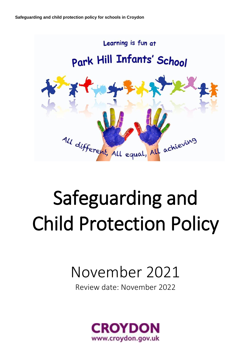

# Safeguarding and Child Protection Policy

# November 2021

Review date: November 2022

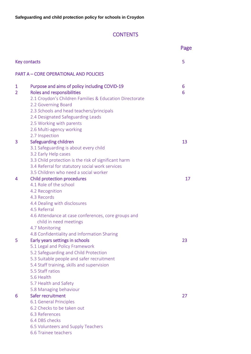# **CONTENTS**

|                     |                                                                                                                                                                                                                                                                                                                                 | Page   |
|---------------------|---------------------------------------------------------------------------------------------------------------------------------------------------------------------------------------------------------------------------------------------------------------------------------------------------------------------------------|--------|
| Key contacts        |                                                                                                                                                                                                                                                                                                                                 | 5      |
|                     | <b>PART A - CORE OPERATIONAL AND POLICIES</b>                                                                                                                                                                                                                                                                                   |        |
| 1<br>$\overline{2}$ | Purpose and aims of policy including COVID-19<br><b>Roles and responsibilities</b><br>2.1 Croydon's Children Families & Education Directorate<br>2.2 Governing Board<br>2.3 Schools and head teachers/principals<br>2.4 Designated Safeguarding Leads<br>2.5 Working with parents<br>2.6 Multi-agency working<br>2.7 Inspection | 6<br>6 |
| 3                   | Safeguarding children<br>3.1 Safeguarding is about every child<br>3.2 Early Help cases<br>3.3 Child protection is the risk of significant harm<br>3.4 Referral for statutory social work services<br>3.5 Children who need a social worker                                                                                      | 13     |
| 4                   | <b>Child protection procedures</b><br>4.1 Role of the school<br>4.2 Recognition<br>4.3 Records<br>4.4 Dealing with disclosures<br>4.5 Referral<br>4.6 Attendance at case conferences, core groups and<br>child in need meetings<br>4.7 Monitoring<br>4.8 Confidentiality and Information Sharing                                | 17     |
| 5                   | Early years settings in schools<br>5.1 Legal and Policy Framework<br>5.2 Safeguarding and Child Protection<br>5.3 Suitable people and safer recruitment<br>5.4 Staff training, skills and supervision<br>5.5 Staff ratios<br>5.6 Health<br>5.7 Health and Safety<br>5.8 Managing behaviour                                      | 23     |
| 6                   | Safer recruitment<br>6.1 General Principles<br>6.2 Checks to be taken out<br>6.3 References<br>6.4 DBS checks<br>6.5 Volunteers and Supply Teachers<br>6.6 Trainee teachers                                                                                                                                                     | 27     |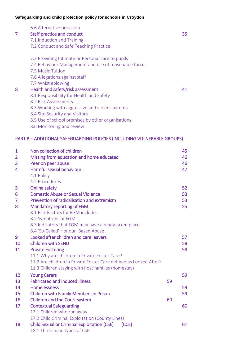|   | 6.6 Alternative provision                            |    |
|---|------------------------------------------------------|----|
|   | <b>Staff practice and conduct</b>                    | 35 |
|   | 7.1 Induction and Training                           |    |
|   | 7.2 Conduct and Safe Teaching Practice               |    |
|   | 7.3 Providing Intimate or Personal care to pupils    |    |
|   | 7.4 Behaviour Management and use of reasonable force |    |
|   | 7.5 Music Tuition                                    |    |
|   | 7.6 Allegations against staff                        |    |
|   | 7.7 Whistleblowing                                   |    |
| 8 | Health and safety/risk assessment                    | 41 |
|   | 8.1 Responsibility for Health and Safety             |    |
|   | 8.2 Risk Assessments                                 |    |
|   | 8.3 Working with aggressive and violent parents      |    |
|   | 8.4 Site Security and Visitors                       |    |
|   | 8.5 Use of school premises by other organisations    |    |
|   | 8.6 Monitoring and review                            |    |

# PART B – ADDITIONAL SAFEGUARDING POLICIES (INCLUDING VULNERABLE GROUPS)

| 1<br>$\overline{2}$<br>3<br>4 | Non collection of children<br>Missing from education and home educated<br>Peer on peer abuse<br>Harmful sexual behaviour<br>4.1 Policy<br>4.2 Procedures |    | 45<br>46<br>46<br>47 |
|-------------------------------|----------------------------------------------------------------------------------------------------------------------------------------------------------|----|----------------------|
| 5                             | <b>Online safety</b>                                                                                                                                     |    | 52                   |
| 6                             | <b>Domestic Abuse or Sexual Violence</b>                                                                                                                 |    | 53                   |
| 7                             | Prevention of radicalisation and extremism                                                                                                               |    | 53                   |
| 8                             | Mandatory reporting of FGM                                                                                                                               |    | 55                   |
|                               | 8.1 Risk Factors for FGM include:                                                                                                                        |    |                      |
|                               | 8.2 Symptoms of FGM                                                                                                                                      |    |                      |
|                               | 8.3 Indicators that FGM may have already taken place                                                                                                     |    |                      |
|                               | 8.4 'So-Called' Honour-Based Abuse                                                                                                                       |    |                      |
| 9                             | Looked after children and care leavers                                                                                                                   |    | 57                   |
| 10                            | <b>Children with SEND</b>                                                                                                                                |    | 58                   |
| 11                            | <b>Private Fostering</b>                                                                                                                                 |    | 58                   |
|                               | 11.1 Why are children in Private Foster Care?                                                                                                            |    |                      |
|                               | 11.2 Are children in Private Foster Care defined as Looked After?                                                                                        |    |                      |
|                               | 11.3 Children staying with host families (homestay)                                                                                                      |    |                      |
| 12                            | <b>Young Carers</b>                                                                                                                                      |    | 59                   |
| 13                            | <b>Fabricated and induced Illness</b>                                                                                                                    | 59 |                      |
| 14<br>15                      | <b>Homelessness</b>                                                                                                                                      |    | 59<br>59             |
| 16                            | <b>Children with Family Members in Prison</b><br>Children and the Court system                                                                           | 60 |                      |
| 17                            | <b>Contextual Safeguarding</b>                                                                                                                           |    | 60                   |
|                               | 17.1 Children who run away                                                                                                                               |    |                      |
|                               | 17.2 Child Criminal Exploitation (County Lines)                                                                                                          |    |                      |
| 18                            | <b>Child Sexual or Criminal Exploitation (CSE)</b><br>(CCE)                                                                                              |    | 61                   |
|                               | 18.1 Three main types of CSE                                                                                                                             |    |                      |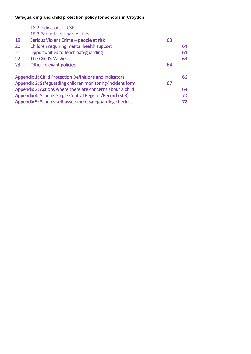| 18.2 Indicators of CSE                                     |                                                                |    |
|------------------------------------------------------------|----------------------------------------------------------------|----|
| 18.3 Potential Vulnerabilities                             |                                                                |    |
| Serious Violent Crime - people at risk                     | 63                                                             |    |
| Children requiring mental health support                   |                                                                | 64 |
| <b>Opportunities to teach Safeguarding</b>                 |                                                                | 64 |
| The Child's Wishes                                         |                                                                | 64 |
| Other relevant policies                                    | 64                                                             |    |
|                                                            |                                                                | 66 |
| Appendix 2: Safeguarding children monitoring/incident form |                                                                |    |
| Appendix 3: Actions where there are concerns about a child |                                                                | 69 |
| Appendix 4: Schools Single Central Register/Record (SCR)   |                                                                |    |
| Appendix 5: Schools self-assessment safeguarding checklist |                                                                |    |
|                                                            | <b>Appendix 1: Child Protection Definitions and Indicators</b> | 67 |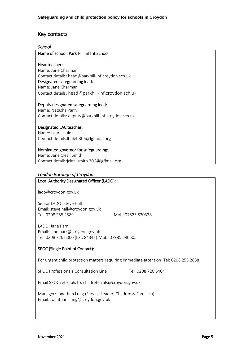# Key contacts

#### *School*

Name of school: Park Hill Infant School

#### Headteacher:

Name: Jane Charman Contact details: head@parkhill-inf.croydon.sch.uk Designated safeguarding lead: Name: Jane Charman Contact details: head@parkhill-inf.croydon.sch.uk

#### Deputy designated safeguarding lead:

Name: Natasha Parry Contact details: deputy@parkhill-inf.croydon.sch.uk

#### Designated LAC teacher:

Name: Laura Hulet Contact details:lhulet.306@lgflmail.org

#### Nominated governor for safeguarding: Name: Jane Cleall Smith Contact details:jcleallsmith.306@lgflmail.org

# *London Borough of Croydon*

#### Local Authority Designated Officer (LADO):

[lado@croydon.gov.uk](mailto:lado@croydon.gov.uk)

Senior LADO: Steve Hall Email: steve.hall@croydon.gov.uk Tel: 0208 255 2889 Mob: 07825 830328

LADO: Jane Parr Email[: jane.parr@croydon.gov.uk](mailto:jane.parr@croydon.gov.uk) Tel: 0208 726 6000 (Ext. 84343) Mob: 07985 590505

#### SPOC (Single Point of Contact):

For urgent child protection matters requiring immediate attention: Tel: 0208 255 2888

SPOC Professionals Consultation Line Tel: 0208 726 6464

Email SPOC referrals to: [childreferrals@croydon.gov.uk](mailto:childreferrals@croydon.gov.uk)

Manager: Jonathan Lung (Service Leader, Children & Families)) Email: Jonathan.Lung@croydon.gov.uk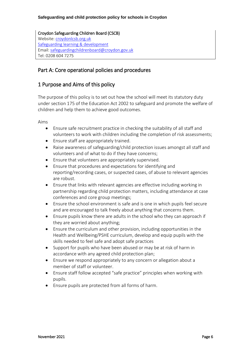Croydon Safeguarding Children Board (CSCB) Website: [croydonlcsb.org.uk](http://croydonlcsb.org.uk/) [Safeguarding learning & development](http://croydonlcsb.org.uk/professionals/learning-development/) Email[: safeguardingchildrenboard@croydon.gov.uk](mailto:safeguardingchildrenboard@croydon.gov.uk) Tel: 0208 604 7275

# Part A: Core operational policies and procedures

# 1 Purpose and Aims of this policy

The purpose of this policy is to set out how the school will meet its statutory duty under section 175 of the Education Act 2002 to safeguard and promote the welfare of children and help them to achieve good outcomes.

Aims

- Ensure safe recruitment practice in checking the suitability of all staff and volunteers to work with children including the completion of risk assessments;
- Ensure staff are appropriately trained.
- Raise awareness of safeguarding/child protection issues amongst all staff and volunteers and of what to do if they have concerns;
- Ensure that volunteers are appropriately supervised.
- Ensure that procedures and expectations for identifying and reporting/recording cases, or suspected cases, of abuse to relevant agencies are robust.
- Ensure that links with relevant agencies are effective including working in partnership regarding child protection matters, including attendance at case conferences and core group meetings;
- Ensure the school environment is safe and is one in which pupils feel secure and are encouraged to talk freely about anything that concerns them.
- Ensure pupils know there are adults in the school who they can approach if they are worried about anything;
- Ensure the curriculum and other provision, including opportunities in the Health and Wellbeing/PSHE curriculum, develop and equip pupils with the skills needed to feel safe and adopt safe practices
- Support for pupils who have been abused or may be at risk of harm in accordance with any agreed child protection plan;
- Ensure we respond appropriately to any concern or allegation about a member of staff or volunteer.
- Ensure staff follow accepted "safe practice" principles when working with pupils.
- Ensure pupils are protected from all forms of harm.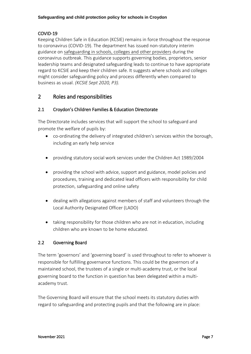# COVID-19

Keeping Children Safe in Education (KCSIE) remains in force throughout the response to coronavirus (COVID-19). The department has issued non-statutory interim guidance on [safeguarding in schools, colleges and other providers](https://www.gov.uk/government/publications/covid-19-safeguarding-in-schools-colleges-and-other-providers) during the coronavirus outbreak. This guidance supports governing bodies, proprietors, senior leadership teams and designated safeguarding leads to continue to have appropriate regard to KCSIE and keep their children safe. It suggests where schools and colleges might consider safeguarding policy and process differently when compared to business as usual. *(KCSIE Sept 2020, P3).*

# 2 Roles and responsibilities

# 2.1 Croydon's Children Families & Education Directorate

The Directorate includes services that will support the school to safeguard and promote the welfare of pupils by:

- co-ordinating the delivery of integrated children's services within the borough, including an early help service
- providing statutory social work services under the Children Act 1989/2004
- providing the school with advice, support and guidance, model policies and procedures, training and dedicated lead officers with responsibility for child protection, safeguarding and online safety
- dealing with allegations against members of staff and volunteers through the Local Authority Designated Officer (LADO)
- taking responsibility for those children who are not in education, including children who are known to be home educated.

# 2.2 Governing Board

The term 'governors' and 'governing board' is used throughout to refer to whoever is responsible for fulfilling governance functions. This could be the governors of a maintained school, the trustees of a single or multi-academy trust, or the local governing board to the function in question has been delegated within a multiacademy trust.

The Governing Board will ensure that the school meets its statutory duties with regard to safeguarding and protecting pupils and that the following are in place: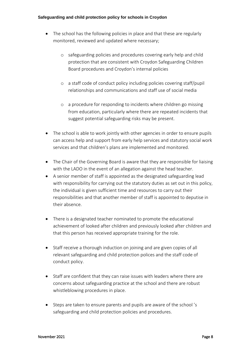- The school has the following policies in place and that these are regularly monitored, reviewed and updated where necessary;
	- o safeguarding policies and procedures covering early help and child protection that are consistent with Croydon Safeguarding Children Board procedures and Croydon's internal policies
	- o a staff code of conduct policy including policies covering staff/pupil relationships and communications and staff use of social media
	- o a procedure for responding to incidents where children go missing from education, particularly where there are repeated incidents that suggest potential safeguarding risks may be present.
- The school is able to work jointly with other agencies in order to ensure pupils can access help and support from early help services and statutory social work services and that children's plans are implemented and monitored.
- The Chair of the Governing Board is aware that they are responsible for liaising with the LADO in the event of an allegation against the head teacher.
- A senior member of staff is appointed as the designated safeguarding lead with responsibility for carrying out the statutory duties as set out in this policy, the individual is given sufficient time and resources to carry out their responsibilities and that another member of staff is appointed to deputise in their absence.
- There is a designated teacher nominated to promote the educational achievement of looked after children and previously looked after children and that this person has received appropriate training for the role.
- Staff receive a thorough induction on joining and are given copies of all relevant safeguarding and child protection polices and the staff code of conduct policy.
- Staff are confident that they can raise issues with leaders where there are concerns about safeguarding practice at the school and there are robust whistleblowing procedures in place.
- Steps are taken to ensure parents and pupils are aware of the school 's safeguarding and child protection policies and procedures.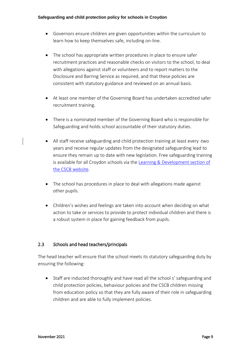- Governors ensure children are given opportunities within the curriculum to learn how to keep themselves safe, including on-line.
- The school has appropriate written procedures in place to ensure safer recruitment practices and reasonable checks on visitors to the school, to deal with allegations against staff or volunteers and to report matters to the Disclosure and Barring Service as required, and that these policies are consistent with statutory guidance and reviewed on an annual basis.
- At least one member of the Governing Board has undertaken accredited safer recruitment training.
- There is a nominated member of the Governing Board who is responsible for Safeguarding and holds school accountable of their statutory duties.
- All staff receive safeguarding and child protection training at least every -two years and receive regular updates from the designated safeguarding lead to ensure they remain up to date with new legislation. Free safeguarding training is available for all Croydon schools via the [Learning & Development section of](http://croydonlcsb.org.uk/professionals/learning-development/)  [the CSCB website.](http://croydonlcsb.org.uk/professionals/learning-development/)
- The school has procedures in place to deal with allegations made against other pupils.
- Children's wishes and feelings are taken into account when deciding on what action to take or services to provide to protect individual children and there is a robust system in place for gaining feedback from pupils.

# 2.3 *S*chools and head teachers/principals

The head teacher will ensure that the school meets its statutory safeguarding duty by ensuring the following:

• Staff are inducted thoroughly and have read all the school s' safeguarding and child protection policies, behaviour policies and the CSCB children missing from education policy so that they are fully aware of their role in safeguarding children and are able to fully implement policies.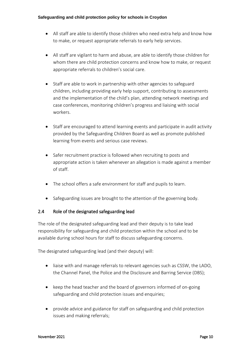- All staff are able to identify those children who need extra help and know how to make, or request appropriate referrals to early help services.
- All staff are vigilant to harm and abuse, are able to identify those children for whom there are child protection concerns and know how to make, or request appropriate referrals to children's social care.
- Staff are able to work in partnership with other agencies to safeguard children, including providing early help support, contributing to assessments and the implementation of the child's plan, attending network meetings and case conferences, monitoring children's progress and liaising with social workers.
- Staff are encouraged to attend learning events and participate in audit activity provided by the Safeguarding Children Board as well as promote published learning from events and serious case reviews.
- Safer recruitment practice is followed when recruiting to posts and appropriate action is taken whenever an allegation is made against a member of staff.
- The school offers a safe environment for staff and pupils to learn.
- Safeguarding issues are brought to the attention of the governing body.

# 2.4 Role of the designated safeguarding lead

The role of the designated safeguarding lead and their deputy is to take lead responsibility for safeguarding and child protection within the school and to be available during school hours for staff to discuss safeguarding concerns.

The designated safeguarding lead (and their deputy) will:

- liaise with and manage referrals to relevant agencies such as CSSW, the LADO, the Channel Panel, the Police and the Disclosure and Barring Service (DBS);
- keep the head teacher and the board of governors informed of on-going safeguarding and child protection issues and enquiries;
- provide advice and guidance for staff on safeguarding and child protection issues and making referrals;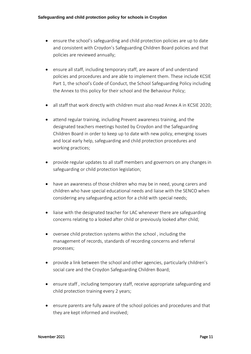- ensure the school's safeguarding and child protection policies are up to date and consistent with Croydon's Safeguarding Children Board policies and that policies are reviewed annually;
- ensure all staff, including temporary staff, are aware of and understand policies and procedures and are able to implement them. These include KCSIE Part 1, the school's Code of Conduct, the School Safeguarding Policy including the Annex to this policy for their school and the Behaviour Policy;
- all staff that work directly with children must also read Annex A in KCSIE 2020;
- attend regular training, including Prevent awareness training, and the designated teachers meetings hosted by Croydon and the Safeguarding Children Board in order to keep up to date with new policy, emerging issues and local early help, safeguarding and child protection procedures and working practices;
- provide regular updates to all staff members and governors on any changes in safeguarding or child protection legislation;
- have an awareness of those children who may be in need, young carers and children who have special educational needs and liaise with the SENCO when considering any safeguarding action for a child with special needs;
- liaise with the designated teacher for LAC whenever there are safeguarding concerns relating to a looked after child or previously looked after child;
- oversee child protection systems within the school , including the management of records, standards of recording concerns and referral processes;
- provide a link between the school and other agencies, particularly children's social care and the Croydon Safeguarding Children Board;
- ensure staff , including temporary staff, receive appropriate safeguarding and child protection training every 2 years;
- ensure parents are fully aware of the school policies and procedures and that they are kept informed and involved;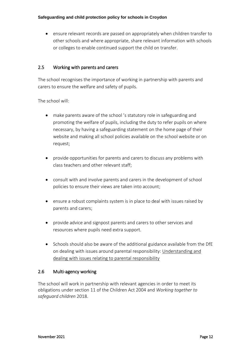• ensure relevant records are passed on appropriately when children transfer to other schools and where appropriate, share relevant information with schools or colleges to enable continued support the child on transfer.

# 2.5 Working with parents and carers

The school recognises the importance of working in partnership with parents and carers to ensure the welfare and safety of pupils.

The school will:

- make parents aware of the school 's statutory role in safeguarding and promoting the welfare of pupils, including the duty to refer pupils on where necessary, by having a safeguarding statement on the home page of their website and making all school policies available on the school website or on request;
- provide opportunities for parents and carers to discuss any problems with class teachers and other relevant staff;
- consult with and involve parents and carers in the development of school policies to ensure their views are taken into account;
- ensure a robust complaints system is in place to deal with issues raised by parents and carers;
- provide advice and signpost parents and carers to other services and resources where pupils need extra support.
- Schools should also be aware of the additional guidance available from the DfE on dealing with issues around parental responsibility: [Understanding and](https://www.gov.uk/government/publications/dealing-with-issues-relating-to-parental-responsibility/understanding-and-dealing-with-issues-relating-to-parental-responsibility)  [dealing with issues relating to parental responsibility](https://www.gov.uk/government/publications/dealing-with-issues-relating-to-parental-responsibility/understanding-and-dealing-with-issues-relating-to-parental-responsibility)

# 2.6 Multi-agency working

The school will work in partnership with relevant agencies in order to meet its obligations under section 11 of the Children Act 2004 and *Working together to safeguard children* 2018.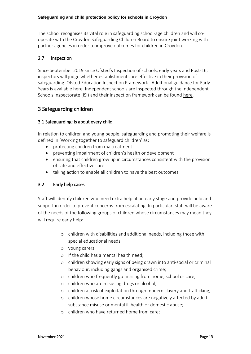The school recognises its vital role in safeguarding school-age children and will cooperate with the Croydon Safeguarding Children Board to ensure joint working with partner agencies in order to improve outcomes for children in Croydon.

# 2.7 Inspection

Since September 2019 since Ofsted's Inspection of schools, early years and Post-16, inspectors will judge whether establishments are effective in their provision of safeguarding. [Ofsted Education Inspection Framework.](file:///C:/AppData/Local/Microsoft/Windows/INetCache/Content.Outlook/6TV98I7L/Ofsted’s%20inspections%20of%20early%20years,%20schools%20and%20post-16%20provision%20are%20carried%20out%20under:%20Ofsted) Additional guidance for Early Years is available [here.](https://www.gov.uk/government/publications/inspecting-safeguarding-in-early-years-education-and-skills) Independent schools are inspected through the Independent Schools Inspectorate (ISI) and their inspection framework can be found [here.](https://www.isi.net/)

# 3 Safeguarding children

# 3.1 Safeguarding: is about every child

In relation to children and young people, safeguarding and promoting their welfare is defined in 'Working together to safeguard children' as:

- protecting children from maltreatment
- preventing impairment of children's health or development
- ensuring that children grow up in circumstances consistent with the provision of safe and effective care
- taking action to enable all children to have the best outcomes

# 3.2 Early help cases

Staff will identify children who need extra help at an early stage and provide help and support in order to prevent concerns from escalating. In particular, staff will be aware of the needs of the following groups of children whose circumstances may mean they will require early help:

- o children with disabilities and additional needs, including those with special educational needs
- o young carers
- o if the child has a mental health need;
- o children showing early signs of being drawn into anti-social or criminal behaviour, including gangs and organised crime;
- o children who frequently go missing from home, school or care;
- o children who are misusing drugs or alcohol;
- o children at risk of exploitation through modern slavery and trafficking;
- o children whose home circumstances are negatively affected by adult substance misuse or mental ill health or domestic abuse;
- o children who have returned home from care;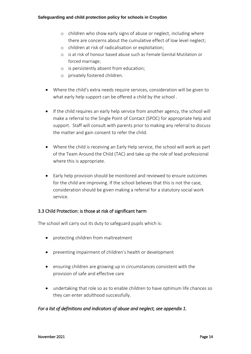- o children who show early signs of abuse or neglect, including where there are concerns about the cumulative effect of low level neglect;
- o children at risk of radicalisation or exploitation;
- o is at risk of honour based abuse such as Female Genital Mutilation or forced marriage;
- o is persistently absent from education;
- o privately fostered children.
- Where the child's extra needs require services, consideration will be given to what early help support can be offered a child by the school .
- If the child requires an early help service from another agency, the school will make a referral to the Single Point of Contact (SPOC) for appropriate help and support. Staff will consult with parents prior to making any referral to discuss the matter and gain consent to refer the child.
- Where the child is receiving an Early Help service, the school will work as part of the Team Around the Child (TAC) and take up the role of lead professional where this is appropriate.
- Early help provision should be monitored and reviewed to ensure outcomes for the child are improving. If the school believes that this is not the case, consideration should be given making a referral for a statutory social work service.

#### 3.3 Child Protection: is those at risk of significant harm

The school will carry out its duty to safeguard pupils which is:

- protecting children from maltreatment
- preventing impairment of children's health or development
- ensuring children are growing up in circumstances consistent with the provision of safe and effective care
- undertaking that role so as to enable children to have optimum life chances so they can enter adulthood successfully.

#### *For a list of definitions and indicators of abuse and neglect, see appendix 1.*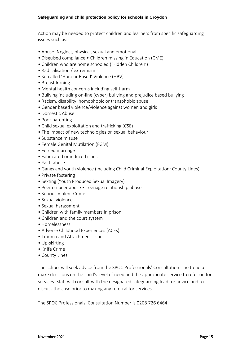Action may be needed to protect children and learners from specific safeguarding issues such as:

- Abuse: Neglect, physical, sexual and emotional
- Disguised compliance Children missing in Education (CME)
- Children who are home schooled ('Hidden Children')
- Radicalisation / extremism
- So-called 'Honour Based' Violence (HBV)
- Breast Ironing
- Mental health concerns including self-harm
- Bullying including on-line (cyber) bullying and prejudice based bullying
- Racism, disability, homophobic or transphobic abuse
- Gender based violence/violence against women and girls
- Domestic Abuse
- Poor parenting
- Child sexual exploitation and trafficking (CSE)
- The impact of new technologies on sexual behaviour
- Substance misuse
- Female Genital Mutilation (FGM)
- Forced marriage
- Fabricated or induced illness
- Faith abuse
- Gangs and youth violence (including Child Criminal Exploitation: County Lines)
- Private fostering
- Sexting (Youth Produced Sexual Imagery)
- Peer on peer abuse Teenage relationship abuse
- Serious Violent Crime
- Sexual violence
- Sexual harassment
- Children with family members in prison
- Children and the court system
- Homelessness
- Adverse Childhood Experiences (ACEs)
- Trauma and Attachment issues
- Up-skirting
- Knife Crime
- County Lines

The school will seek advice from the SPOC Professionals' Consultation Line to help make decisions on the child's level of need and the appropriate service to refer on for services. Staff will consult with the designated safeguarding lead for advice and to discuss the case prior to making any referral for services.

The SPOC Professionals' Consultation Number is 0208 726 6464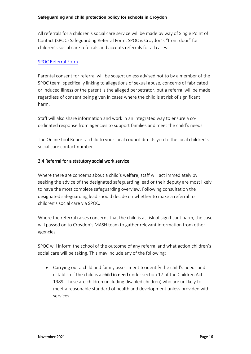All referrals for a children's social care service will be made by way of Single Point of Contact (SPOC) Safeguarding Referral Form. SPOC is Croydon's "front door" for children's social care referrals and accepts referrals for all cases.

#### [SPOC Referral Form](https://my.croydon.gov.uk/MashReferrals?qWname=New&qServiceRef=ChildReferral)

Parental consent for referral will be sought unless advised not to by a member of the SPOC team, specifically linking to allegations of sexual abuse, concerns of fabricated or induced illness or the parent is the alleged perpetrator, but a referral will be made regardless of consent being given in cases where the child is at risk of significant harm.

Staff will also share information and work in an integrated way to ensure a coordinated response from agencies to support families and meet the child's needs.

The Online tool [Report a child to your local council](https://www.gov.uk/report-child-abuse-to-local-council) directs you to the local children's social care contact number.

# 3.4 Referral for a statutory social work service

Where there are concerns about a child's welfare, staff will act immediately by seeking the advice of the designated safeguarding lead or their deputy are most likely to have the most complete safeguarding overview. Following consultation the designated safeguarding lead should decide on whether to make a referral to children's social care via SPOC.

Where the referral raises concerns that the child is at risk of significant harm, the case will passed on to Croydon's MASH team to gather relevant information from other agencies.

SPOC will inform the school of the outcome of any referral and what action children's social care will be taking. This may include any of the following:

• Carrying out a child and family assessment to identify the child's needs and establish if the child is a child in need under section 17 of the Children Act 1989. These are children (including disabled children) who are unlikely to meet a reasonable standard of health and development unless provided with services.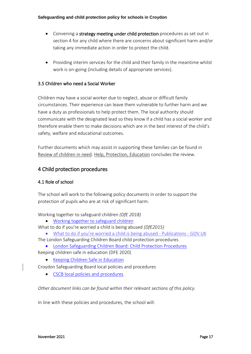- Convening a strategy meeting under child protection procedures as set out in section 4 for any child where there are concerns about significant harm and/or taking any immediate action in order to protect the child.
- Providing interim services for the child and their family in the meantime whilst work is on-going (including details of appropriate services).

## 3.5 Children who need a Social Worker

Children may have a social worker due to neglect, abuse or difficult family circumstances. Their experience can leave them vulnerable to further harm and we have a duty as professionals to help protect them. The local authority should communicate with the designated lead so they know if a child has a social worker and therefore enable them to make decisions which are in the best interest of the child's safety, welfare and educational outcomes.

Further documents which may assist in supporting these families can be found in [Review of children in need.](https://www.gov.uk/government/publications/review-of-children-in-need/review-of-children-in-need) [Help, Protection, Education](https://assets.publishing.service.gov.uk/government/uploads/system/uploads/attachment_data/file/809236/190614_CHILDREN_IN_NEED_PUBLICATION_FINAL.pdf) concludes the review.

# 4 Child protection procedures

# 4.1 Role of school

The school will work to the following policy documents in order to support the protection of pupils who are at risk of significant harm.

Working together to safeguard children *(DfE 2018)*

- [Working together to safeguard children](https://assets.publishing.service.gov.uk/government/uploads/system/uploads/attachment_data/file/729914/Working_Together_to_Safeguard_Children-2018.pdf)
- What to do if you're worried a child is being abused *(DfE2015)*
- [What to do if you're worried a child is being a](https://www.gov.uk/government/publications/what-to-do-if-youre-worried-a-child-is-being-abused--2)bused Publications GOV.UK The London Safeguarding Children Board child protection procedures
- [London Safeguarding Children Board: Child Protection Procedures](http://www.londoncp.co.uk/) Keeping children safe in education (DFE 2020)
	- [Keeping Children Safe in Education](https://www.gov.uk/government/publications/keeping-children-safe-in-education--2)

Croydon Safeguarding Board local policies and procedures

• CSCB [local policies and procedures](http://croydonlcsb.org.uk/professionals/policies/)

*Other document links can be found within their relevant sections of this policy.*

In line with these policies and procedures, the school will: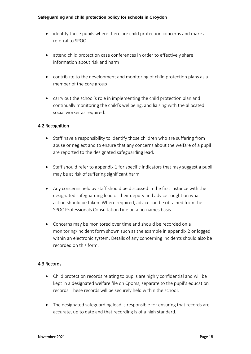- identify those pupils where there are child protection concerns and make a referral to SPOC
- attend child protection case conferences in order to effectively share information about risk and harm
- contribute to the development and monitoring of child protection plans as a member of the core group
- carry out the school's role in implementing the child protection plan and continually monitoring the child's wellbeing, and liaising with the allocated social worker as required.

# 4.2 Recognition

- Staff have a responsibility to identify those children who are suffering from abuse or neglect and to ensure that any concerns about the welfare of a pupil are reported to the designated safeguarding lead.
- Staff should refer to appendix 1 for specific indicators that may suggest a pupil may be at risk of suffering significant harm.
- Any concerns held by staff should be discussed in the first instance with the designated safeguarding lead or their deputy and advice sought on what action should be taken. Where required, advice can be obtained from the SPOC Professionals Consultation Line on a no-names basis.
- Concerns may be monitored over time and should be recorded on a monitoring/incident form shown such as the example in appendix 2 or logged within an electronic system. Details of any concerning incidents should also be recorded on this form.

# 4.3 Records

- Child protection records relating to pupils are highly confidential and will be kept in a designated welfare file on Cpoms, separate to the pupil's education records. These records will be securely held within the school.
- The designated safeguarding lead is responsible for ensuring that records are accurate, up to date and that recording is of a high standard.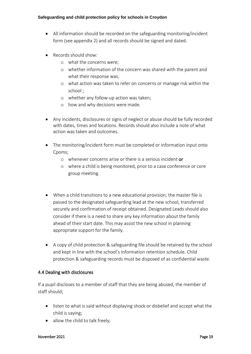- All information should be recorded on the safeguarding monitoring/incident form (see appendix 2) and all records should be signed and dated.
- Records should show:
	- o what the concerns were;
	- o whether information of the concern was shared with the parent and what their response was;
	- o what action was taken to refer on concerns or manage risk within the school ;
	- o whether any follow-up action was taken;
	- o how and why decisions were made.
- Any incidents, disclosures or signs of neglect or abuse should be fully recorded with dates, times and locations. Records should also include a note of what action was taken and outcomes.
- The monitoring/incident form must be completed or information input onto Cpoms;
	- $\circ$  whenever concerns arise or there is a serious incident or
	- o where a child is being monitored, prior to a case conference or core group meeting.
- When a child transitions to a new educational provision, the master file is passed to the designated safeguarding lead at the new school, transferred securely and confirmation of receipt obtained. Designated Leads should also consider if there is a need to share any key information about the family ahead of their start date. This may assist the new school in planning appropriate support for the family.
- A copy of child protection & safeguarding file should be retained by the school and kept in line with the school's information retention schedule. Child protection & safeguarding records must be disposed of as confidential waste.

# 4.4 Dealing with disclosures

If a pupil discloses to a member of staff that they are being abused, the member of staff should;

- listen to what is said without displaying shock or disbelief and accept what the child is saying;
- allow the child to talk freely;

#### November 2021 **Page 19**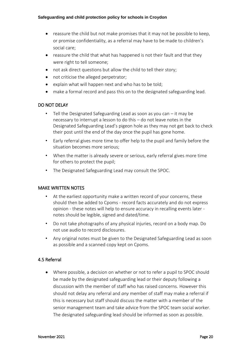- reassure the child but not make promises that it may not be possible to keep, or promise confidentiality, as a referral may have to be made to children's social care;
- reassure the child that what has happened is not their fault and that they were right to tell someone;
- not ask direct questions but allow the child to tell their story;
- not criticise the alleged perpetrator;
- explain what will happen next and who has to be told;
- make a formal record and pass this on to the designated safeguarding lead.

# DO NOT DELAY

- Tell the Designated Safeguarding Lead as soon as you can  $-$  it may be necessary to interrupt a lesson to do this – do not leave notes in the Designated Safeguarding Lead's pigeon hole as they may not get back to check their post until the end of the day once the pupil has gone home.
- Early referral gives more time to offer help to the pupil and family before the situation becomes more serious;
- When the matter is already severe or serious, early referral gives more time for others to protect the pupil;
- The Designated Safeguarding Lead may consult the SPOC.

# MAKE WRITTEN NOTES

- At the earliest opportunity make a written record of your concerns, these should then be added to Cpoms - record facts accurately and do not express opinion - these notes will help to ensure accuracy in recalling events later notes should be legible, signed and dated/time.
- Do not take photographs of any physical injuries, record on a body map. Do not use audio to record disclosures.
- Any original notes must be given to the Designated Safeguarding Lead as soon as possible and a scanned copy kept on Cpoms.

# 4.5 Referral

• Where possible, a decision on whether or not to refer a pupil to SPOC should be made by the designated safeguarding lead or their deputy following a discussion with the member of staff who has raised concerns. However this should not delay any referral and *any* member of staff may make a referral if this is necessary but staff should discuss the matter with a member of the senior management team and take advice from the SPOC team social worker. The designated safeguarding lead should be informed as soon as possible.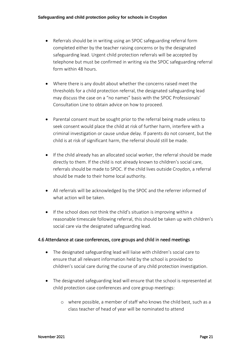- Referrals should be in writing using an SPOC safeguarding referral form completed either by the teacher raising concerns or by the designated safeguarding lead. Urgent child protection referrals will be accepted by telephone but must be confirmed in writing via the SPOC safeguarding referral form within 48 hours.
- Where there is any doubt about whether the concerns raised meet the thresholds for a child protection referral, the designated safeguarding lead may discuss the case on a "no names" basis with the SPOC Professionals' Consultation Line to obtain advice on how to proceed.
- Parental consent must be sought prior to the referral being made unless to seek consent would place the child at risk of further harm, interfere with a criminal investigation or cause undue delay. If parents do not consent, but the child is at risk of significant harm, the referral should still be made.
- If the child already has an allocated social worker, the referral should be made directly to them. If the child is not already known to children's social care, referrals should be made to SPOC. If the child lives outside Croydon, a referral should be made to their home local authority.
- All referrals will be acknowledged by the SPOC and the referrer informed of what action will be taken.
- If the school does not think the child's situation is improving within a reasonable timescale following referral, this should be taken up with children's social care via the designated safeguarding lead.

# 4.6 Attendance at case conferences, core groups and child in need meetings

- The designated safeguarding lead will liaise with children's social care to ensure that all relevant information held by the school is provided to children's social care during the course of any child protection investigation.
- The designated safeguarding lead will ensure that the school is represented at child protection case conferences and core group meetings:
	- o where possible, a member of staff who knows the child best, such as a class teacher of head of year will be nominated to attend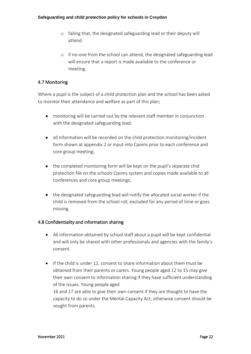- o failing that, the designated safeguarding lead or their deputy will attend
- o if no-one from the school can attend, the designated safeguarding lead will ensure that a report is made available to the conference or meeting.

# 4.7 Monitoring

Where a pupil is the subject of a child protection plan and the school has been asked to monitor their attendance and welfare as part of this plan;

- monitoring will be carried out by the relevant staff member in conjunction with the designated safeguarding lead;
- all information will be recorded on the child protection monitoring/incident form shown at appendix 2 or input into Cpoms prior to each conference and core group meeting;
- the completed monitoring form will be kept on the pupil's separate chid protection file on the schools Cpoms system and copies made available to all conferences and core group meetings;
- the designated safeguarding lead will notify the allocated social worker if the child is removed from the school roll, excluded for any period of time or goes missing.

# 4.8 Confidentiality and information sharing

sought from parents.

- All information obtained by school staff about a pupil will be kept confidential and will only be shared with other professionals and agencies with the family's consent.
- If the child is under 12, consent to share information about them must be obtained from their parents or carers. Young people aged 12 to 15 may give their own consent to information sharing if they have sufficient understanding of the issues. Young people aged 16 and 17 are able to give their own consent if they are thought to have the capacity to do so under the Mental Capacity Act; otherwise consent should be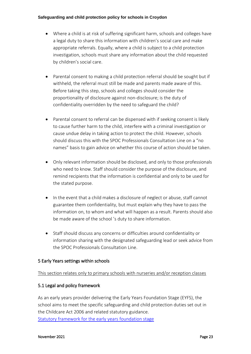- Where a child is at risk of suffering significant harm, schools and colleges have a legal duty to share this information with children's social care and make appropriate referrals. Equally, where a child is subject to a child protection investigation, schools must share any information about the child requested by children's social care.
- Parental consent to making a child protection referral should be sought but if withheld, the referral must still be made and parents made aware of this. Before taking this step, schools and colleges should consider the proportionality of disclosure against non-disclosure; is the duty of confidentiality overridden by the need to safeguard the child?
- Parental consent to referral can be dispensed with if seeking consent is likely to cause further harm to the child, interfere with a criminal investigation or cause undue delay in taking action to protect the child. However, schools should discuss this with the SPOC Professionals Consultation Line on a "no names" basis to gain advice on whether this course of action should be taken.
- Only relevant information should be disclosed, and only to those professionals who need to know. Staff should consider the purpose of the disclosure, and remind recipients that the information is confidential and only to be used for the stated purpose.
- In the event that a child makes a disclosure of neglect or abuse, staff cannot guarantee them confidentiality, but must explain why they have to pass the information on, to whom and what will happen as a result. Parents should also be made aware of the school 's duty to share information.
- Staff should discuss any concerns or difficulties around confidentiality or information sharing with the designated safeguarding lead or seek advice from the SPOC Professionals Consultation Line.

# 5 Early Years settings within schools

# This section relates only to primary schools with nurseries and/or reception classes

# 5.1 Legal and policy framework

As an early years provider delivering the Early Years Foundation Stage (EYFS), the school aims to meet the specific safeguarding and child protection duties set out in the Childcare Act 2006 and related statutory guidance. [Statutory framework for the early years foundation stage](https://assets.publishing.service.gov.uk/government/uploads/system/uploads/attachment_data/file/596629/EYFS_STATUTORY_FRAMEWORK_2017.pdf)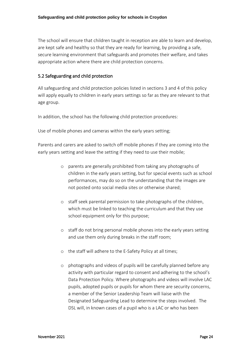The school will ensure that children taught in reception are able to learn and develop, are kept safe and healthy so that they are ready for learning, by providing a safe, secure learning environment that safeguards and promotes their welfare, and takes appropriate action where there are child protection concerns.

# 5.2 Safeguarding and child protection

All safeguarding and child protection policies listed in sections 3 and 4 of this policy will apply equally to children in early years settings so far as they are relevant to that age group.

In addition, the school has the following child protection procedures:

Use of mobile phones and cameras within the early years setting;

Parents and carers are asked to switch off mobile phones if they are coming into the early years setting and leave the setting if they need to use their mobile;

- o parents are generally prohibited from taking any photographs of children in the early years setting, but for special events such as school performances, may do so on the understanding that the images are not posted onto social media sites or otherwise shared;
- o staff seek parental permission to take photographs of the children, which must be linked to teaching the curriculum and that they use school equipment only for this purpose;
- o staff do not bring personal mobile phones into the early years setting and use them only during breaks in the staff room;
- o the staff will adhere to the E-Safety Policy at all times;
- o photographs and videos of pupils will be carefully planned before any activity with particular regard to consent and adhering to the school's Data Protection Policy. Where photographs and videos will involve LAC pupils, adopted pupils or pupils for whom there are security concerns, a member of the Senior Leadership Team will liaise with the Designated Safeguarding Lead to determine the steps involved. The DSL will, in known cases of a pupil who is a LAC or who has been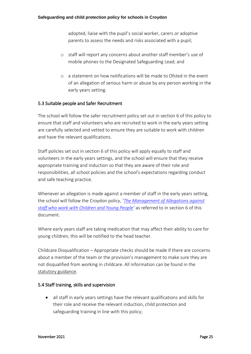adopted, liaise with the pupil's social worker, carers or adoptive parents to assess the needs and risks associated with a pupil;

- o staff will report any concerns about another staff member's use of mobile phones to the Designated Safeguarding Lead; and
- o a statement on how notifications will be made to Ofsted in the event of an allegation of serious harm or abuse by any person working in the early years setting.

# 5.3 Suitable people and Safer Recruitment

The school will follow the safer recruitment policy set out in section 6 of this policy to ensure that staff and volunteers who are recruited to work in the early years setting are carefully selected and vetted to ensure they are suitable to work with children and have the relevant qualifications.

Staff policies set out in section 6 of this policy will apply equally to staff and volunteers in the early years settings, and the school will ensure that they receive appropriate training and induction so that they are aware of their role and responsibilities, all school policies and the school's expectations regarding conduct and safe teaching practice.

Whenever an allegation is made against a member of staff in the early years setting, the school will follow the Croydon policy, '*[The Management of Allegations against](http://croydonlcsb.org.uk/professionals/allegations-complaints/)  [staff who work with Children and Young People](http://croydonlcsb.org.uk/professionals/allegations-complaints/)'* as referred to in section 6 of this document.

Where early years staff are taking medication that may affect their ability to care for young children, this will be notified to the head teacher.

Childcare Disqualification – Appropriate checks should be made if there are concerns about a member of the team or the provision's management to make sure they are not disqualified from working in childcare. All information can be found in the [statutory guidance.](https://www.gov.uk/government/publications/disqualification-under-the-childcare-act-2006)

# 5.4 Staff training, skills and supervision

• all staff in early years settings have the relevant qualifications and skills for their role and receive the relevant induction, child protection and safeguarding training in line with this policy;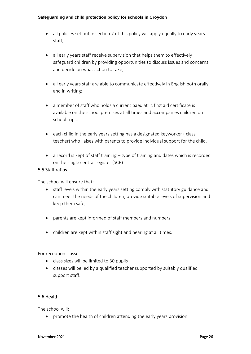- all policies set out in section 7 of this policy will apply equally to early years staff;
- all early years staff receive supervision that helps them to effectively safeguard children by providing opportunities to discuss issues and concerns and decide on what action to take;
- all early years staff are able to communicate effectively in English both orally and in writing;
- a member of staff who holds a current paediatric first aid certificate is available on the school premises at all times and accompanies children on school trips;
- each child in the early years setting has a designated keyworker ( class teacher) who liaises with parents to provide individual support for the child.
- a record is kept of staff training type of training and dates which is recorded on the single central register (SCR)

#### 5.5 Staff ratios

The school will ensure that:

- staff levels within the early years setting comply with statutory guidance and can meet the needs of the children, provide suitable levels of supervision and keep them safe;
- parents are kept informed of staff members and numbers;
- children are kept within staff sight and hearing at all times.

For reception classes:

- class sizes will be limited to 30 pupils
- classes will be led by a qualified teacher supported by suitably qualified support staff.

# 5.6 Health

The school will:

• promote the health of children attending the early years provision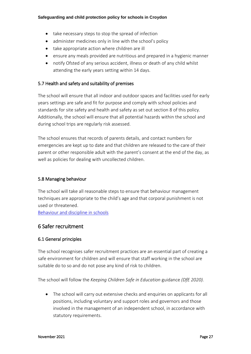- take necessary steps to stop the spread of infection
- administer medicines only in line with the school's policy
- take appropriate action where children are ill
- ensure any meals provided are nutritious and prepared in a hygienic manner
- notify Ofsted of any serious accident, illness or death of any child whilst attending the early years setting within 14 days.

# 5.7 Health and safety and suitability of premises

The school will ensure that all indoor and outdoor spaces and facilities used for early years settings are safe and fit for purpose and comply with school policies and standards for site safety and health and safety as set out section 8 of this policy. Additionally, the school will ensure that all potential hazards within the school and during school trips are regularly risk assessed.

The school ensures that records of parents details, and contact numbers for emergencies are kept up to date and that children are released to the care of their parent or other responsible adult with the parent's consent at the end of the day, as well as policies for dealing with uncollected children.

# 5.8 Managing behaviour

The school will take all reasonable steps to ensure that behaviour management techniques are appropriate to the child's age and that corporal punishment is not used or threatened.

[Behaviour and discipline in schools](https://assets.publishing.service.gov.uk/government/uploads/system/uploads/attachment_data/file/488034/Behaviour_and_Discipline_in_Schools_-_A_guide_for_headteachers_and_School_Staff.pdf)

# 6 Safer recruitment

# 6.1 General principles

The school recognises safer recruitment practices are an essential part of creating a safe environment for children and will ensure that staff working in the school are suitable do to so and do not pose any kind of risk to children.

The school will follow the *Keeping Children Safe in Education* guidance *(DfE 2020).*

• The school will carry out extensive checks and enquiries on applicants for all positions, including voluntary and support roles and governors and those involved in the management of an independent school, in accordance with statutory requirements.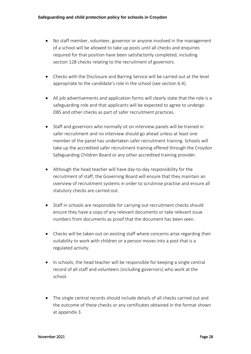- No staff member, volunteer, governor or anyone involved in the management of a school will be allowed to take up posts until all checks and enquiries required for that position have been satisfactorily completed, including section 128 checks relating to the recruitment of governors.
- Checks with the Disclosure and Barring Service will be carried out at the level appropriate to the candidate's role in the school (see section 6.4).
- All job advertisements and application forms will clearly state that the role is a safeguarding role and that applicants will be expected to agree to undergo DBS and other checks as part of safer recruitment practices.
- Staff and governors who normally sit on interview panels will be trained in safer recruitment and no interview should go ahead unless at least one member of the panel has undertaken safer recruitment training. Schools will take up the accredited safer recruitment training offered through the Croydon Safeguarding Children Board or any other accredited training provider.
- Although the head teacher will have day-to-day responsibility for the recruitment of staff, the Governing Board will ensure that they maintain an overview of recruitment systems in order to scrutinise practise and ensure all statutory checks are carried out.
- Staff in schools are responsible for carrying out recruitment checks should ensure they have a copy of any relevant documents or take relevant issue numbers from documents as proof that the document has been seen.
- Checks will be taken out on existing staff where concerns arise regarding their suitability to work with children or a person moves into a post that is a regulated activity.
- In schools, the head teacher will be responsible for keeping a single central record of all staff and volunteers (including governors) who work at the school.
- The single central records should include details of all checks carried out and the outcome of these checks or any certificates obtained in the format shown at appendix 3.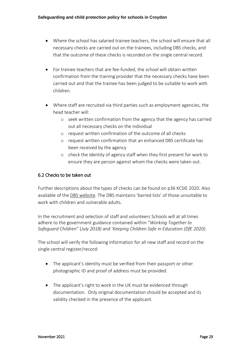- Where the school has salaried trainee teachers, the school will ensure that all necessary checks are carried out on the trainees, including DBS checks, and that the outcome of these checks is recorded on the single central record.
- For trainee teachers that are fee-funded, the school will obtain written confirmation from the training provider that the necessary checks have been carried out and that the trainee has been judged to be suitable to work with children.
- Where staff are recruited via third parties such as employment agencies, the head teacher will:
	- o seek written confirmation from the agency that the agency has carried out all necessary checks on the individual
	- o request written confirmation of the outcome of all checks
	- o request written confirmation that an enhanced DBS certificate has been received by the agency
	- o check the identity of agency staff when they first present for work to ensure they are person against whom the checks were taken out.

# 6.2 Checks to be taken out

Further descriptions about the types of checks can be found on p36 KCSIE 2020. Also available of the [DBS website](https://www.gov.uk/government/organisations/disclosure-and-barring-service). The DBS maintains 'barred lists' of those unsuitable to work with children and vulnerable adults.

In the recruitment and selection of staff and volunteers Schools will at all times adhere to the government guidance contained within "*Working Together to Safeguard Children*" (*July 2018)* and '*Keeping Children Safe in Education (DfE 2020)*.

The school will verify the following information for all new staff and record on the single central register/record:

- The applicant's identity must be verified from their passport or other photographic ID and proof of address must be provided.
- The applicant's right to work in the UK must be evidenced through documentation. Only original documentation should be accepted and its validity checked in the presence of the applicant.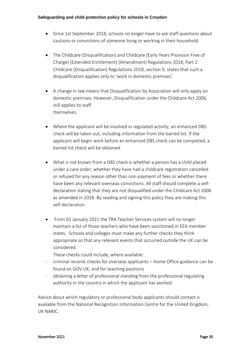- Since 1st September 2018, schools no longer have to ask staff questions about cautions or convictions of someone living or working in their household.
- The Childcare (Disqualification) and Childcare (Early Years Provision Free of Charge) (Extended Entitlement) (Amendment) Regulations 2018, Part 2 Childcare (Disqualification) Regulations 2018, section 9, states that such a disqualification applies only to 'work in domestic premises'.
- A change in law means that Disqualification by Association will only apply on domestic premises. However, Disqualification under the Childcare Act 2006, still applies to staff themselves.
- Where the applicant will be involved in regulated activity, an enhanced DBS check will be taken out, including information from the barred list. If the applicant will begin work before an enhanced DBS check can be completed, a barred list check will be obtained.
- What is not known from a DBS check is whether a person has a child placed under a care order, whether they have had a childcare registration cancelled or refused for any reason other than non-payment of fees or whether there have been any relevant overseas convictions. All staff should complete a selfdeclaration stating that they are not disqualified under the Childcare Act 2006 as amended in 2018. By reading and signing this policy they are making this self-declaration.
- From 01 January 2021 the TRA Teacher Services system will no longer maintain a list of those teachers who have been sanctioned in EEA member states. Schools and colleges must make any further checks they think appropriate so that any relevant events that occurred outside the UK can be considered.

These checks could include, where available:

- criminal records checks for overseas applicants Home Office guidance can be found on GOV.UK; and for teaching positions
- obtaining a letter of professional standing from the professional regulating authority in the country in which the applicant has worked.

Advice about which regulatory or professional body applicants should contact is available from the National Recognition Information Centre for the United Kingdom, UK NARIC.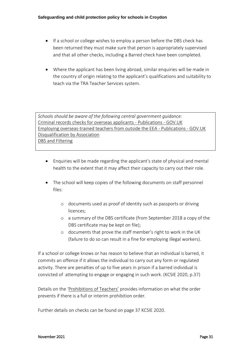- If a school or college wishes to employ a person before the DBS check has been returned they must make sure that person is appropriately supervised and that all other checks, including a Barred check have been completed.
- Where the applicant has been living abroad, similar enquiries will be made in the country of origin relating to the applicant's qualifications and suitability to teach via the TRA Teacher Services system.

*Schools should be aware of the following central government guidance:* [Criminal records checks for overseas applicants -](https://www.gov.uk/government/publications/criminal-records-checks-for-overseas-applicants) Publications - GOV.UK [Employing overseas-trained teachers from outside the EEA -](https://www.gov.uk/government/publications/employing-overseas-trained-teachers-from-outside-the-eea) Publications - GOV.UK [Disqualification by Association](https://www.gov.uk/government/publications/disqualification-under-the-childcare-act-2006/disqualification-under-the-childcare-act-2006) [DBS and Filtering](https://www.gov.uk/government/publications/dbs-filtering-guidance)

- Enquiries will be made regarding the applicant's state of physical and mental health to the extent that it may affect their capacity to carry out their role.
- The school will keep copies of the following documents on staff personnel files:
	- o documents used as proof of identity such as passports or driving licences;
	- o a summary of the DBS certificate (from September 2018 a copy of the DBS certificate may be kept on file);
	- o documents that prove the staff member's right to work in the UK (failure to do so can result in a fine for employing illegal workers).

If a school or college knows or has reason to believe that an individual is barred, it commits an offence if it allows the individual to carry out any form or regulated activity. There are penalties of up to five years in prison if a barred individual is convicted of attempting to engage or engaging in such work. (KCSIE 2020, p.37)

Details on the ['Prohibitions of Teachers'](https://www.gov.uk/government/publications/teacher-misconduct-the-prohibition-of-teachers--3) provides information on what the order prevents if there is a full or interim prohibition order.

Further details on checks can be found on page 37 KCSIE 2020.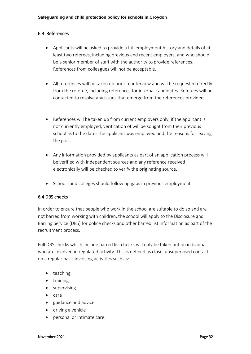# 6.3 References

- Applicants will be asked to provide a full employment history and details of at least two referees, including previous and recent employers, and who should be a senior member of staff with the authority to provide references. References from colleagues will not be acceptable.
- All references will be taken up prior to interview and will be requested directly from the referee, including references for internal candidates. Referees will be contacted to resolve any issues that emerge from the references provided.
- References will be taken up from current employers only; if the applicant is not currently employed, verification of will be sought from their previous school as to the dates the applicant was employed and the reasons for leaving the post.
- Any information provided by applicants as part of an application process will be verified with independent sources and any reference received electronically will be checked to verify the originating source.
- Schools and colleges should follow up gaps in previous employment

# 6.4 DBS checks

In order to ensure that people who work in the school are suitable to do so and are not barred from working with children, the school will apply to the Disclosure and Barring Service (DBS) for police checks and other barred list information as part of the recruitment process.

Full DBS checks which include barred list checks will only be taken out on individuals who are involved in regulated activity. This is defined as close, unsupervised contact on a regular basis involving activities such as:

- teaching
- training
- supervising
- care
- guidance and advice
- driving a vehicle
- personal or intimate care.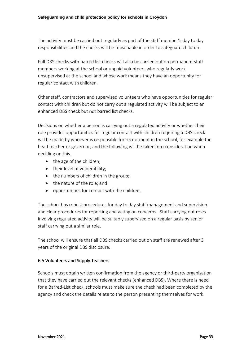The activity must be carried out regularly as part of the staff member's day to day responsibilities and the checks will be reasonable in order to safeguard children.

Full DBS checks with barred list checks will also be carried out on permanent staff members working at the school or unpaid volunteers who regularly work unsupervised at the school and whose work means they have an opportunity for regular contact with children.

Other staff, contractors and supervised volunteers who have opportunities for regular contact with children but do not carry out a regulated activity will be subject to an enhanced DBS check but not barred list checks.

Decisions on whether a person is carrying out a regulated activity or whether their role provides opportunities for regular contact with children requiring a DBS check will be made by whoever is responsible for recruitment in the school, for example the head teacher or governor, and the following will be taken into consideration when deciding on this.

- the age of the children;
- their level of vulnerability;
- the numbers of children in the group:
- the nature of the role; and
- opportunities for contact with the children.

The school has robust procedures for day to day staff management and supervision and clear procedures for reporting and acting on concerns. Staff carrying out roles involving regulated activity will be suitably supervised on a regular basis by senior staff carrying out a similar role.

The school will ensure that all DBS checks carried out on staff are renewed after 3 years of the original DBS disclosure.

# 6.5 Volunteers and Supply Teachers

Schools must obtain written confirmation from the agency or third-party organisation that they have carried out the relevant checks (enhanced DBS). Where there is need for a Barred-List check, schools must make sure the check had been completed by the agency and check the details relate to the person presenting themselves for work.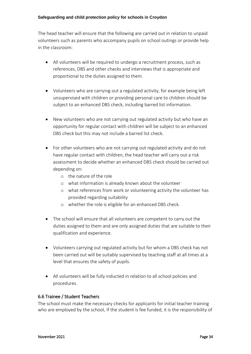The head teacher will ensure that the following are carried out in relation to unpaid volunteers such as parents who accompany pupils on school outings or provide help in the classroom:

- All volunteers will be required to undergo a recruitment process, such as references, DBS and other checks and interviews that is appropriate and proportional to the duties assigned to them.
- Volunteers who are carrying out a regulated activity, for example being left unsupervised with children or providing personal care to children should be subject to an enhanced DBS check, including barred list information.
- New volunteers who are not carrying out regulated activity but who have an opportunity for regular contact with children will be subject to an enhanced DBS check but this may not include a barred list check.
- For other volunteers who are not carrying out regulated activity and do not have regular contact with children, the head teacher will carry out a risk assessment to decide whether an enhanced DBS check should be carried out depending on:
	- o the nature of the role
	- o what information is already known about the volunteer
	- o what references from work or volunteering activity the volunteer has provided regarding suitability
	- o whether the role is eligible for an enhanced DBS check.
- The school will ensure that all volunteers are competent to carry out the duties assigned to them and are only assigned duties that are suitable to their qualification and experience.
- Volunteers carrying out regulated activity but for whom a DBS check has not been carried out will be suitably supervised by teaching staff at all times at a level that ensures the safety of pupils.
- All volunteers will be fully inducted in relation to all school policies and procedures.

# 6.6 Trainee / Student Teachers

The school must make the necessary checks for applicants for initial teacher training who are employed by the school, If the student is fee funded, it is the responsibility of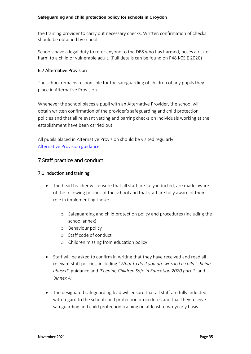the training provider to carry out necessary checks. Written confirmation of checks should be obtained by school.

Schools have a legal duty to refer anyone to the DBS who has harmed, poses a risk of harm to a child or vulnerable adult. (Full details can be found on P48 KCSIE 2020)

#### 6.7 Alternative Provision

The school remains responsible for the safeguarding of children of any pupils they place in Alternative Provision.

Whenever the school places a pupil with an Alternative Provider, the school will obtain written confirmation of the provider's safeguarding and child protection policies and that all relevant vetting and barring checks on individuals working at the establishment have been carried out.

All pupils placed in Alternative Provision should be visited regularly. [Alternative Provision guidance](https://assets.publishing.service.gov.uk/government/uploads/system/uploads/attachment_data/file/268940/alternative_provision_statutory_guidance_pdf_version.pdf)

# 7 Staff practice and conduct

#### 7.1 Induction and training

- The head teacher will ensure that all staff are fully inducted, are made aware of the following policies of the school and that staff are fully aware of their role in implementing these:
	- o Safeguarding and child protection policy and procedures (including the school annex)
	- o Behaviour policy
	- o Staff code of conduct
	- o Children missing from education policy.
- Staff will be asked to confirm in writing that they have received and read all relevant staff policies, including "*What to do if you are worried a child is being abused*" guidance and *'Keeping Children Safe in Education 2020 part 1'* and *'Annex A'*
- The designated safeguarding lead will ensure that all staff are fully inducted with regard to the school child protection procedures and that they receive safeguarding and child protection training on at least a two-yearly basis.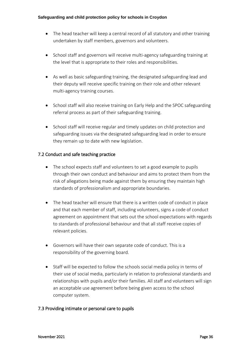- The head teacher will keep a central record of all statutory and other training undertaken by staff members, governors and volunteers.
- School staff and governors will receive multi-agency safeguarding training at the level that is appropriate to their roles and responsibilities.
- As well as basic safeguarding training, the designated safeguarding lead and their deputy will receive specific training on their role and other relevant multi-agency training courses.
- School staff will also receive training on Early Help and the SPOC safeguarding referral process as part of their safeguarding training.
- School staff will receive regular and timely updates on child protection and safeguarding issues via the designated safeguarding lead in order to ensure they remain up to date with new legislation.

# 7.2 Conduct and safe teaching practice

- The school expects staff and volunteers to set a good example to pupils through their own conduct and behaviour and aims to protect them from the risk of allegations being made against them by ensuring they maintain high standards of professionalism and appropriate boundaries.
- The head teacher will ensure that there is a written code of conduct in place and that each member of staff, including volunteers, signs a code of conduct agreement on appointment that sets out the school expectations with regards to standards of professional behaviour and that all staff receive copies of relevant policies.
- Governors will have their own separate code of conduct. This is a responsibility of the governing board.
- Staff will be expected to follow the schools social media policy in terms of their use of social media, particularly in relation to professional standards and relationships with pupils and/or their families. All staff and volunteers will sign an acceptable use agreement before being given access to the school computer system.

# 7.3 Providing intimate or personal care to pupils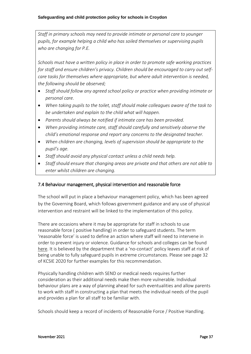*Staff in primary schools may need to provide intimate or personal care to younger pupils, for example helping a child who has soiled themselves or supervising pupils who are changing for P.E.*

*Schools must have a written policy in place in order to promote safe working practices for staff and ensure children's privacy. Children should be encouraged to carry out selfcare tasks for themselves where appropriate, but where adult intervention is needed, the following should be observed;*

- *Staff should follow any agreed school policy or practice when providing intimate or personal care.*
- *When taking pupils to the toilet, staff should make colleagues aware of the task to be undertaken and explain to the child what will happen.*
- *Parents should always be notified if intimate care has been provided.*
- *When providing intimate care, staff should carefully and sensitively observe the child's emotional response and report any concerns to the designated teacher.*
- *When children are changing, levels of supervision should be appropriate to the pupil's age.*
- *Staff should avoid any physical contact unless a child needs help.*
- *Staff should ensure that changing areas are private and that others are not able to enter whilst children are changing.*

### 7.4 Behaviour management, physical intervention and reasonable force

The school will put in place a behaviour management policy, which has been agreed by the Governing Board, which follows government guidance and any use of physical intervention and restraint will be linked to the implementation of this policy.

There are occasions where it may be appropriate for staff in schools to use reasonable force ( positive handling) in order to safeguard students. The term 'reasonable force' is used to define an action where staff will need to intervene in order to prevent injury or violence. Guidance for schools and colleges can be found [here.](https://www.gov.uk/government/publications/use-of-reasonable-force-in-schools) It is believed by the department that a 'no-contact' policy leaves staff at risk of being unable to fully safeguard pupils in extreme circumstances. Please see page 32 of KCSIE 2020 for further examples for this recommendation.

Physically handling children with SEND or medical needs requires further consideration as their additional needs make then more vulnerable. Individual behaviour plans are a way of planning ahead for such eventualities and allow parents to work with staff in constructing a plan that meets the individual needs of the pupil and provides a plan for all staff to be familiar with.

Schools should keep a record of incidents of Reasonable Force / Positive Handling.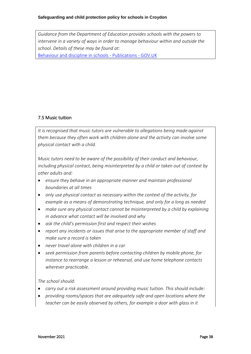*Guidance from the Department of Education provides schools with the powers to intervene in a variety of ways in order to manage behaviour within and outside the school. Details of these may be found at:* [Behaviour and discipline in schools -](https://www.gov.uk/government/publications/behaviour-and-discipline-in-schools) Publications - GOV.UK

# 7.5 Music tuition

*It is recognised that music tutors are vulnerable to allegations being made against them because they often work with children alone and the activity can involve some physical contact with a child.* 

*Music tutors need to be aware of the possibility of their conduct and behaviour, including physical contact, being misinterpreted by a child or taken out of context by other adults and:* 

- *ensure they behave in an appropriate manner and maintain professional boundaries at all times*
- *only use physical contact as necessary within the context of the activity, for example as a means of demonstrating technique, and only for a long as needed*
- *make sure any physical contact cannot be misinterpreted by a child by explaining in advance what contact will be involved and why*
- *ask the child's permission first and respect their wishes*
- *report any incidents or issues that arise to the appropriate member of staff and make sure a record is taken*
- *never travel alone with children in a car*
- *seek permission from parents before contacting children by mobile phone, for instance to rearrange a lesson or rehearsal, and use home telephone contacts wherever practicable.*

### *The school should:*

- *carry out a risk assessment around providing music tuition. This should include:*
- *providing rooms/spaces that are adequately safe and open locations where the teacher can be easily observed by others, for example a door with glass in it*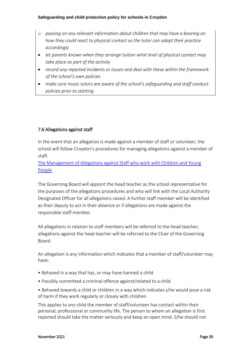- o *passing on any relevant information about children that may have a bearing on how they could react to physical contact so the tutor can adapt their practice accordingly*
- *let parents known when they arrange tuition what level of physical contact may take place as part of the activity*
- *record any reported incidents or issues and deal with these within the framework of the school's own policies*
- *make sure music tutors are aware of the school's safeguarding and staff conduct policies prior to starting.*

## 7.6 Allegations against staff

In the event that an allegation is made against a member of staff or volunteer, the school will follow Croydon's procedures for managing allegations against a member of staff.

[The Management of Allegations against Staff who work with Children and Young](http://croydonlcsb.org.uk/professionals/allegations-complaints/)  [People](http://croydonlcsb.org.uk/professionals/allegations-complaints/)

The Governing Board will appoint the head teacher as the school representative for the purposes of the allegations procedures and who will link with the Local Authority Designated Officer for all allegations raised. A further staff member will be identified as their deputy to act in their absence or if allegations are made against the responsible staff member.

All allegations in relation to staff members will be referred to the head teacher; allegations against the head teacher will be referred to the Chair of the Governing Board.

An allegation is any information which indicates that a member of staff/volunteer may have:

- Behaved in a way that has, or may have harmed a child
- Possibly committed a criminal offence against/related to a child
- Behaved towards a child or children in a way which indicates s/he would pose a risk of harm if they work regularly or closely with children

This applies to any child the member of staff/volunteer has contact within their personal, professional or community life. The person to whom an allegation is first reported should take the matter seriously and keep an open mind. S/he should not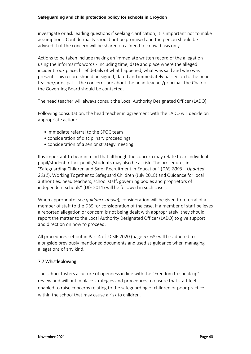investigate or ask leading questions if seeking clarification; it is important not to make assumptions. Confidentiality should not be promised and the person should be advised that the concern will be shared on a 'need to know' basis only.

Actions to be taken include making an immediate written record of the allegation using the informant's words - including time, date and place where the alleged incident took place, brief details of what happened, what was said and who was present. This record should be signed, dated and immediately passed on to the head teacher/principal. If the concerns are about the head teacher/principal, the Chair of the Governing Board should be contacted.

The head teacher will always consult the Local Authority Designated Officer (LADO).

Following consultation, the head teacher in agreement with the LADO will decide on appropriate action:

- immediate referral to the SPOC team
- consideration of disciplinary proceedings
- consideration of a senior strategy meeting

It is important to bear in mind that although the concern may relate to an individual pupil/student, other pupils/students may also be at risk. The procedures in "Safeguarding Children and Safer Recruitment in Education" (*DfE, 2006 – Updated 2011*), Working Together to Safeguard Children (July 2018) and Guidance for local authorities, head teachers, school staff, governing bodies and proprietors of independent schools" (DfE 2011) will be followed in such cases;

When appropriate (*see guidance above*), consideration will be given to referral of a member of staff to the DBS for consideration of the case. If a member of staff believes a reported allegation or concern is not being dealt with appropriately, they should report the matter to the Local Authority Designated Officer (LADO) to give support and direction on how to proceed.

All procedures set out in Part 4 of KCSIE 2020 (page 57-68) will be adhered to alongside previously mentioned documents and used as guidance when managing allegations of any kind.

## 7.7 Whistleblowing

The school fosters a culture of openness in line with the "Freedom to speak up" review and will put in place strategies and procedures to ensure that staff feel enabled to raise concerns relating to the safeguarding of children or poor practice within the school that may cause a risk to children.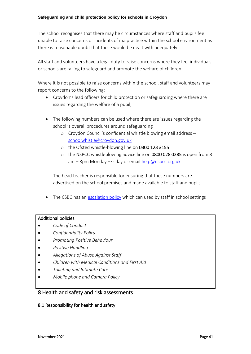The school recognises that there may be circumstances where staff and pupils feel unable to raise concerns or incidents of malpractice within the school environment as there is reasonable doubt that these would be dealt with adequately.

All staff and volunteers have a legal duty to raise concerns where they feel individuals or schools are failing to safeguard and promote the welfare of children.

Where it is not possible to raise concerns within the school, staff and volunteers may report concerns to the following;

- Croydon's lead officers for child protection or safeguarding where there are issues regarding the welfare of a pupil;
- The following numbers can be used where there are issues regarding the school 's overall procedures around safeguarding
	- o Croydon Council's confidential whistle blowing email address [schoolwhistle@croydon.gov.uk](mailto:schoolwhistle@croydon.gov.uk)
	- o the Ofsted whistle-blowing line on 0300 123 3155
	- o the NSPCC whistleblowing advice line on 0800 028 0285 is open from 8 am - 8pm Monday - Friday or email [help@nspcc.org.uk](mailto:help@nspcc.org.uk)

The head teacher is responsible for ensuring that these numbers are advertised on the school premises and made available to staff and pupils.

• The CSBC has an [escalation policy](http://croydonlcsb.org.uk/professionals/policies/#escalation-policy-) which can used by staff in school settings

### Additional policies

- *Code of Conduct*
- *Confidentiality Policy*
- *Promoting Positive Behaviour*
- *Positive Handling*
- *Allegations of Abuse Against Staff*
- *Children with Medical Conditions and First Aid*
- *Toileting and Intimate Care*
- *Mobile phone and Camera Policy*

## 8 Health and safety and risk assessments

### 8.1 Responsibility for health and safety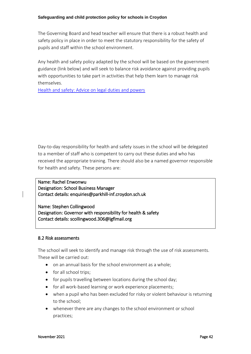The Governing Board and head teacher will ensure that there is a robust health and safety policy in place in order to meet the statutory responsibility for the safety of pupils and staff within the school environment.

Any health and safety policy adapted by the school will be based on the government guidance (link below) and will seek to balance risk avoidance against providing pupils with opportunities to take part in activities that help them learn to manage risk themselves.

[Health and safety: Advice on legal duties and powers](https://assets.publishing.service.gov.uk/government/uploads/system/uploads/attachment_data/file/279429/DfE_Health_and_Safety_Advice_06_02_14.pdf)

Day-to-day responsibility for health and safety issues in the school will be delegated to a member of staff who is competent to carry out these duties and who has received the appropriate training. There should also be a named governor responsible for health and safety. These persons are:

Name: Rachel Enwonwu Designation: School Business Manager Contact details: enquiries@parkhill-inf.croydon.sch.uk

Name: Stephen Collingwood Designation: Governor with responsibility for health & safety Contact details: scollingwood.306@lgflmail.org

### 8.2 Risk assessments

The school will seek to identify and manage risk through the use of risk assessments. These will be carried out:

- on an annual basis for the school environment as a whole;
- for all school trips;
- for pupils travelling between locations during the school day;
- for all work-based learning or work experience placements;
- when a pupil who has been excluded for risky or violent behaviour is returning to the school;
- whenever there are any changes to the school environment or school practices;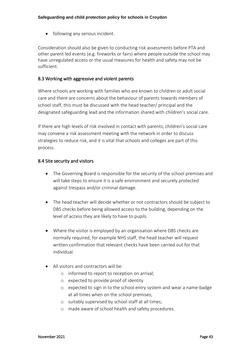• following any serious incident.

Consideration should also be given to conducting risk assessments before PTA and other parent led events (e.g. fireworks or fairs) where people outside the school may have unregulated access or the usual measures for health and safety may not be sufficient.

### 8.3 Working with aggressive and violent parents

Where schools are working with families who are known to children or adult social care and there are concerns about the behaviour of parents towards members of school staff, this must be discussed with the head teacher/ principal and the designated safeguarding lead and the information shared with children's social care.

If there are high levels of risk involved in contact with parents, children's social care may convene a risk assessment meeting with the network in order to discuss strategies to reduce risk, and it is vital that schools and colleges are part of this process.

### 8.4 Site security and visitors

- The Governing Board is responsible for the security of the school premises and will take steps to ensure it is a safe environment and securely protected against trespass and/or criminal damage.
- The head teacher will decide whether or not contractors should be subject to DBS checks before being allowed access to the building, depending on the level of access they are likely to have to pupils.
- Where the visitor is employed by an organisation where DBS checks are normally required, for example NHS staff, the head teacher will request written confirmation that relevant checks have been carried out for that individual.
- All visitors and contractors will be:
	- o informed to report to reception on arrival;
	- o expected to provide proof of identity
	- o expected to sign in to the school entry system and wear a name-badge at all times when on the school premises;
	- o suitably supervised by school staff at all times;
	- o made aware of school health and safety procedures.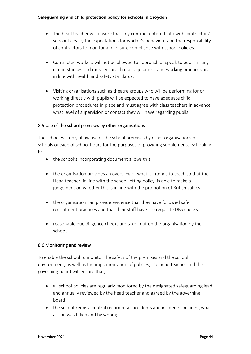- The head teacher will ensure that any contract entered into with contractors' sets out clearly the expectations for worker's behaviour and the responsibility of contractors to monitor and ensure compliance with school policies.
- Contracted workers will not be allowed to approach or speak to pupils in any circumstances and must ensure that all equipment and working practices are in line with health and safety standards.
- Visiting organisations such as theatre groups who will be performing for or working directly with pupils will be expected to have adequate child protection procedures in place and must agree with class teachers in advance what level of supervision or contact they will have regarding pupils.

## 8.5 Use of the school premises by other organisations

The school will only allow use of the school premises by other organisations or schools outside of school hours for the purposes of providing supplemental schooling if:

- the school's incorporating document allows this;
- the organisation provides an overview of what it intends to teach so that the Head teacher, in line with the school letting policy, is able to make a judgement on whether this is in line with the promotion of British values;
- the organisation can provide evidence that they have followed safer recruitment practices and that their staff have the requisite DBS checks;
- reasonable due diligence checks are taken out on the organisation by the school;

## 8.6 Monitoring and review

To enable the school to monitor the safety of the premises and the school environment, as well as the implementation of policies, the head teacher and the governing board will ensure that;

- all school policies are regularly monitored by the designated safeguarding lead and annually reviewed by the head teacher and agreed by the governing board;
- the school keeps a central record of all accidents and incidents including what action was taken and by whom;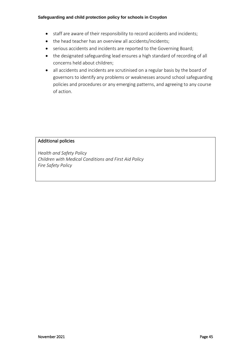- staff are aware of their responsibility to record accidents and incidents;
- the head teacher has an overview all accidents/incidents;
- serious accidents and incidents are reported to the Governing Board;
- the designated safeguarding lead ensures a high standard of recording of all concerns held about children;
- all accidents and incidents are scrutinised on a regular basis by the board of governors to identify any problems or weaknesses around school safeguarding policies and procedures or any emerging patterns, and agreeing to any course of action.

### Additional policies

*Health and Safety Policy Children with Medical Conditions and First Aid Policy Fire Safety Policy*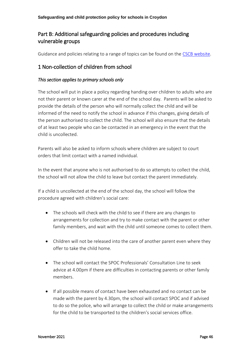# Part B: Additional safeguarding policies and procedures including vulnerable groups

Guidance and policies relating to a range of topics can be found on the [CSCB website.](http://croydonlcsb.org.uk/professionals/policies/)

# 1 Non-collection of children from school

### *This section applies to primary schools only*

The school will put in place a policy regarding handing over children to adults who are not their parent or known carer at the end of the school day. Parents will be asked to provide the details of the person who will normally collect the child and will be informed of the need to notify the school in advance if this changes, giving details of the person authorised to collect the child. The school will also ensure that the details of at least two people who can be contacted in an emergency in the event that the child is uncollected.

Parents will also be asked to inform schools where children are subject to court orders that limit contact with a named individual.

In the event that anyone who is not authorised to do so attempts to collect the child, the school will not allow the child to leave but contact the parent immediately.

If a child is uncollected at the end of the school day, the school will follow the procedure agreed with children's social care:

- The schools will check with the child to see if there are any changes to arrangements for collection and try to make contact with the parent or other family members, and wait with the child until someone comes to collect them.
- Children will not be released into the care of another parent even where they offer to take the child home.
- The school will contact the SPOC Professionals' Consultation Line to seek advice at 4.00pm if there are difficulties in contacting parents or other family members.
- If all possible means of contact have been exhausted and no contact can be made with the parent by 4.30pm, the school will contact SPOC and if advised to do so the police, who will arrange to collect the child or make arrangements for the child to be transported to the children's social services office.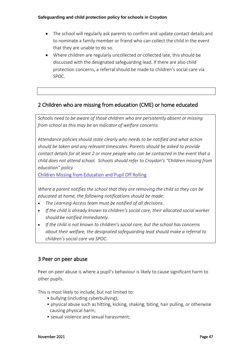- The school will regularly ask parents to confirm and update contact details and to nominate a family member or friend who can collect the child in the event that they are unable to do so.
- Where children are regularly uncollected or collected late, this should be discussed with the designated safeguarding lead. If there are also child protection concerns, a referral should be made to children's social care via SPOC.

# 2 Children who are missing from education (CME) or home educated

*Schools need to be aware of those children who are persistently absent or missing from school as this may be an indicator of welfare concerns.* 

*Attendance policies should state clearly who needs to be notified and what action should be taken and any relevant timescales. Parents should be asked to provide contact details for at least 2 or more people who can be contacted in the event that a child does not attend school. Schools should refer to Croydon's "Children missing from education" policy* 

[Children Missing from Education and Pupil Off Rolling](https://www.croydon.gov.uk/education/schools-new/attendance/child-missing-education)

*Where a parent notifies the school that they are removing the child so they can be educated at home, the following notifications should be made:*

- *The Learning Access team must be notified of all decisions.*
- *If the child is already known to children's social care, their allocated social worker should be notified immediately.*
- *If the child is not known to children's social care, but the school has concerns about their welfare, the designated safeguarding lead should make a referral to children's social care via SPOC.*

# 3 Peer on peer abuse

Peer on peer abuse is where a pupil's behaviour is likely to cause significant harm to other pupils.

This is most likely to include, but not limited to:

- bullying (including cyberbullying):
- physical abuse such as hitting, kicking, shaking, biting, hair pulling, or otherwise causing physical harm;
- sexual violence and sexual harassment;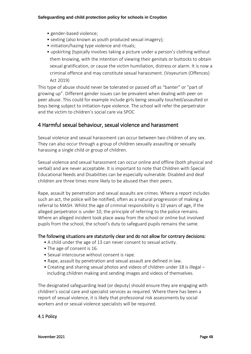- gender-based violence;
- sexting (also known as youth produced sexual imagery);
- initiation/hazing type violence and rituals;
- upskirting (typically involves taking a picture under a person's clothing without them knowing, with the intention of viewing their genitals or buttocks to obtain sexual gratification, or cause the victim humiliation, distress or alarm. It is now a criminal offence and may constitute sexual harassment. (Voyeurism (Offences) Act 2019)

This type of abuse should never be tolerated or passed off as "banter" or "part of growing up". Different gender issues can be prevalent when dealing with peer on peer abuse. This could for example include girls being sexually touched/assaulted or boys being subject to initiation-type violence. The school will refer the perpetrator and the victim to children's social care via SPOC

# 4 Harmful sexual behaviour, sexual violence and harassment

Sexual violence and sexual harassment can occur between two children of any sex. They can also occur through a group of children sexually assaulting or sexually harassing a single child or group of children.

Sexual violence and sexual harassment can occur online and offline (both physical and verbal) and are never acceptable. It is important to note that Children with Special Educational Needs and Disabilities can be especially vulnerable. Disabled and deaf children are three times more likely to be abused than their peers.

Rape, assault by penetration and sexual assaults are crimes. Where a report includes such an act, the police will be notified, often as a natural progression of making a referral to MASH. Whilst the age of criminal responsibility is 10 years of age, if the alleged perpetrator is under 10, the principle of referring to the police remains. Where an alleged incident took place away from the school or online but involved pupils from the school, the school's duty to safeguard pupils remains the same.

### The following situations are statutorily clear and do not allow for contrary decisions:

- A child under the age of 13 can never consent to sexual activity.
- The age of consent is 16.
- Sexual intercourse without consent is rape.
- Rape, assault by penetration and sexual assault are defined in law.
- Creating and sharing sexual photos and videos of children under 18 is illegal including children making and sending images and videos of themselves.

The designated safeguarding lead (or deputy) should ensure they are engaging with children's social care and specialist services as required. Where there has been a report of sexual violence, it is likely that professional risk assessments by social workers and or sexual violence specialists will be required.

## 4.1 Policy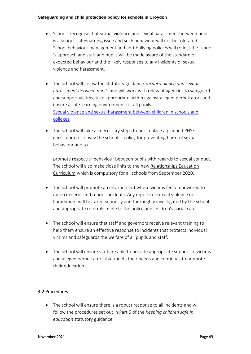- Schools recognise that sexual violence and sexual harassment between pupils is a serious safeguarding issue and such behaviour will not be tolerated. School behaviour management and anti-bullying policies will reflect the school 's approach and staff and pupils will be made aware of the standard of expected behaviour and the likely responses to any incidents of sexual violence and harassment.
- The school will follow the statutory guidance *Sexual violence and sexual harassment between pupils* and will work with relevant agencies to safeguard and support victims, take appropriate action against alleged perpetrators and ensure a safe learning environment for all pupils. [Sexual violence and sexual harassment between children in schools and](https://assets.publishing.service.gov.uk/government/uploads/system/uploads/attachment_data/file/719902/Sexual_violence_and_sexual_harassment_between_children_in_schools_and_colleges.pdf)  [colleges](https://assets.publishing.service.gov.uk/government/uploads/system/uploads/attachment_data/file/719902/Sexual_violence_and_sexual_harassment_between_children_in_schools_and_colleges.pdf)
- The school will take all necessary steps to put in place a planned PHSE curriculum to convey the school 's policy for preventing harmful sexual behaviour and to

promote respectful behaviour between pupils with regards to sexual conduct. The school will also make close links to the new [Relationships Education](https://www.gov.uk/government/publications/relationships-education-relationships-and-sex-education-rse-and-health-education)  [Curriculum](https://www.gov.uk/government/publications/relationships-education-relationships-and-sex-education-rse-and-health-education) which is compulsory for all schools from September 2020.

- The school will promote an environment where victims feel empowered to raise concerns and report incidents. Any reports of sexual violence or harassment will be taken seriously and thoroughly investigated by the school and appropriate referrals made to the police and children's social care.
- The school will ensure that staff and governors receive relevant training to help them ensure an effective response to incidents that protects individual victims and safeguards the welfare of all pupils and staff.
- The school will ensure staff are able to provide appropriate support to victims and alleged perpetrators that meets their needs and continues to promote their education.

# 4.2 Procedures

• The school will ensure there is a robust response to all incidents and will follow the procedures set out in Part 5 of the *Keeping children safe in education* statutory guidance.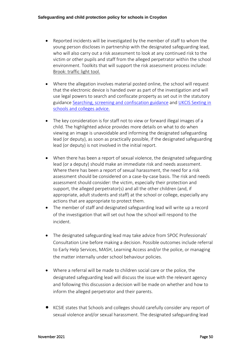- Reported incidents will be investigated by the member of staff to whom the young person discloses in partnership with the designated safeguarding lead, who will also carry out a risk assessment to look at any continued risk to the victim or other pupils and staff from the alleged perpetrator within the school environment. Toolkits that will support the risk assessment process include: [Brook: traffic light tool.](https://legacy.brook.org.uk/brook_tools/traffic/index.html?syn_partner=)
- Where the allegation involves material posted online, the school will request that the electronic device is handed over as part of the investigation and will use legal powers to search and confiscate property as set out in the statutory guidance [Searching, screening and confiscation guidance](https://assets.publishing.service.gov.uk/government/uploads/system/uploads/attachment_data/file/674416/Searching_screening_and_confiscation.pdf) and [UKCIS Sexting in](https://www.gov.uk/government/publications/sexting-in-schools-and-colleges)  [schools and colleges advice.](https://www.gov.uk/government/publications/sexting-in-schools-and-colleges)
- The key consideration is for staff not to view or forward illegal images of a child. The highlighted advice provides more details on what to do when viewing an image is unavoidable and informing the designated safeguarding lead (or deputy), as soon as practically possible, if the designated safeguarding lead (or deputy) is not involved in the initial report.
- When there has been a report of sexual violence, the designated safeguarding lead (or a deputy) should make an immediate risk and needs assessment. Where there has been a report of sexual harassment, the need for a risk assessment should be considered on a case-by-case basis. The risk and needs assessment should consider: the victim, especially their protection and support, the alleged perpetrator(s) and all the other children (and, if appropriate, adult students and staff) at the school or college, especially any actions that are appropriate to protect them.
- The member of staff and designated safeguarding lead will write up a record of the investigation that will set out how the school will respond to the incident.
- The designated safeguarding lead may take advice from SPOC Professionals' Consultation Line before making a decision. Possible outcomes include referral to Early Help Services, MASH, Learning Access and/or the police, or managing the matter internally under school behaviour policies.
- Where a referral will be made to children social care or the police, the designated safeguarding lead will discuss the issue with the relevant agency and following this discussion a decision will be made on whether and how to inform the alleged perpetrator and their parents.
- KCSIE states that Schools and colleges should carefully consider any report of sexual violence and/or sexual harassment. The designated safeguarding lead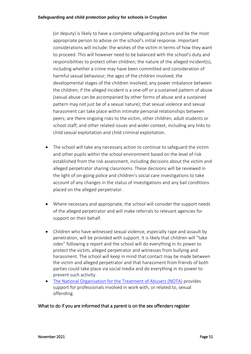(or deputy) is likely to have a complete safeguarding picture and be the most appropriate person to advise on the school's initial response. Important considerations will include: the wishes of the victim in terms of how they want to proceed. This will however need to be balanced with the school's duty and responsibilities to protect other children; the nature of the alleged incident(s), including whether a crime may have been committed and consideration of harmful sexual behaviour; the ages of the children involved; the developmental stages of the children involved; any power imbalance between the children; if the alleged incident is a one-off or a sustained pattern of abuse (sexual abuse can be accompanied by other forms of abuse and a sustained pattern may not just be of a sexual nature); that sexual violence and sexual harassment can take place within intimate personal relationships between peers; are there ongoing risks to the victim, other children, adult students or school staff; and other related issues and wider context, including any links to child sexual exploitation and child criminal exploitation.

- The school will take any necessary action to continue to safeguard the victim and other pupils within the school environment based on the level of risk established from the risk assessment, including decisions about the victim and alleged perpetrator sharing classrooms. These decisions will be reviewed in the light of on-going police and children's social care investigations to take account of any changes in the status of investigations and any bail conditions placed on the alleged perpetrator.
- Where necessary and appropriate, the school will consider the support needs of the alleged perpetrator and will make referrals to relevant agencies for support on their behalf.
- Children who have witnessed sexual violence, especially rape and assault by penetration, will be provided with support. It is likely that children will "take sides" following a report and the school will do everything in its power to protect the victim, alleged perpetrator and witnesses from bullying and harassment. The school will keep in mind that contact may be made between the victim and alleged perpetrator and that harassment from friends of both parties could take place via social media and do everything in its power to prevent such activity.
- [The National Organisation for the Treatment of Abusers \(NOTA\)](https://www.nota.co.uk/) provides support for professionals involved in work with, or related to, sexual offending.

## What to do if you are informed that a parent is on the sex offenders register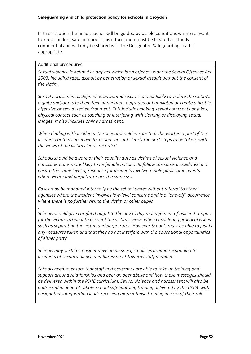In this situation the head teacher will be guided by parole conditions where relevant to keep children safe in school. This information must be treated as strictly confidential and will only be shared with the Designated Safeguarding Lead if appropriate.

### Additional procedures

*.*

*.*

*Sexual violence is defined as any act which is an offence under the Sexual Offences Act 2003, including rape, assault by penetration or sexual assault without the consent of the victim.*

*Sexual harassment is defined as unwanted sexual conduct likely to violate the victim's dignity and/or make them feel intimidated, degraded or humiliated or create a hostile, offensive or sexualised environment. This includes making sexual comments or jokes, physical contact such as touching or interfering with clothing or displaying sexual images. It also includes online harassment.*

*When dealing with incidents, the school should ensure that the written report of the incident contains objective facts and sets out clearly the next steps to be taken, with the views of the victim clearly recorded.*

*Schools should be aware of their equality duty as victims of sexual violence and harassment are more likely to be female but should follow the same procedures and ensure the same level of response for incidents involving male pupils or incidents where victim and perpetrator are the same sex.*

*Cases may be managed internally by the school under without referral to other agencies where the incident involves low-level concerns and is a "one-off" occurrence where there is no further risk to the victim or other pupils*

*Schools should give careful thought to the day to day management of risk and support for the victim, taking into account the victim's views when considering practical issues such as separating the victim and perpetrator. However Schools must be able to justify any measures taken and that they do not interfere with the educational opportunities of either party.*

*Schools may wish to consider developing specific policies around responding to incidents of sexual violence and harassment towards staff members.*

*Schools need to ensure that staff and governors are able to take up training and support around relationships and peer on peer abuse and how these messages should be delivered within the PSHE curriculum. Sexual violence and harassment will also be addressed in general, whole-school safeguarding training delivered by the CSCB, with designated safeguarding leads receiving more intense training in view of their role.*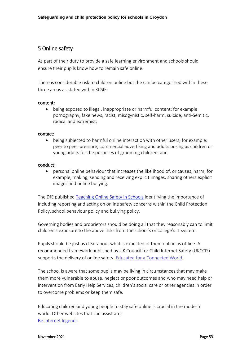# 5 Online safety

As part of their duty to provide a safe learning environment and schools should ensure their pupils know how to remain safe online.

There is considerable risk to children online but the can be categorised within these three areas as stated within KCSIE:

#### content:

• being exposed to illegal, inappropriate or harmful content; for example: pornography, fake news, racist, misogynistic, self-harm, suicide, anti-Semitic, radical and extremist;

#### contact:

• being subjected to harmful online interaction with other users; for example: peer to peer pressure, commercial advertising and adults posing as children or young adults for the purposes of grooming children; and

#### conduct:

• personal online behaviour that increases the likelihood of, or causes, harm; for example, making, sending and receiving explicit images, sharing others explicit images and online bullying.

The DfE published [Teaching Online Safety in Schools](https://www.gov.uk/government/publications/teaching-online-safety-in-schools) identifying the importance of including reporting and acting on online safety concerns within the Child Protection Policy, school behaviour policy and bullying policy.

Governing bodies and proprietors should be doing all that they reasonably can to limit children's exposure to the above risks from the school's or college's IT system.

Pupils should be just as clear about what is expected of them online as offline. A recommended framework published by UK Council for Child Internet Safety (UKCCIS) supports the delivery of online safety. [Educated for a Connected World.](https://assets.publishing.service.gov.uk/government/uploads/system/uploads/attachment_data/file/759003/Education_for_a_connected_world_PDF.PDF)

The school is aware that some pupils may be living in circumstances that may make them more vulnerable to abuse, neglect or poor outcomes and who may need help or intervention from Early Help Services, children's social care or other agencies in order to overcome problems or keep them safe.

Educating children and young people to stay safe online is crucial in the modern world. Other websites that can assist are; [Be internet legends](https://beinternetlegends.withgoogle.com/en_uk)

#### November 2021 Page 53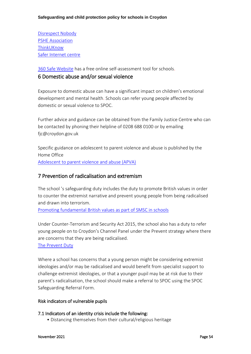[Disrespect Nobody](https://www.disrespectnobody.co.uk/relationship-abuse/what-is-relationship-abuse/) [PSHE Association](https://www.pshe-association.org.uk/) [ThinkUKnow](https://www.thinkuknow.co.uk/) [Safer Internet centre](https://www.saferinternet.org.uk/)

[360 Safe Website](https://360safe.org.uk/) has a free online self-assessment tool for schools.

# 6 Domestic abuse and/or sexual violence

Exposure to domestic abuse can have a significant impact on children's emotional development and mental health. Schools can refer young people affected by domestic or sexual violence to SPOC.

Further advice and guidance can be obtained from the Family Justice Centre who can be contacted by phoning their helpline of 0208 688 0100 or by emailing [fjc@croydon.gov.uk](mailto:fjc@croydon.gov.uk)

Specific guidance on adolescent to parent violence and abuse is published by the Home Office [Adolescent to parent violence and abuse \(APVA\)](https://assets.publishing.service.gov.uk/government/uploads/system/uploads/attachment_data/file/732573/APVA.pdf)

# 7 Prevention of radicalisation and extremism

The school 's safeguarding duty includes the duty to promote British values in order to counter the extremist narrative and prevent young people from being radicalised and drawn into terrorism.

[Promoting fundamental British values as part of SMSC in schools](https://assets.publishing.service.gov.uk/government/uploads/system/uploads/attachment_data/file/380595/SMSC_Guidance_Maintained_Schools.pdf)

Under Counter-Terrorism and Security Act 2015, the school also has a duty to refer young people on to Croydon's Channel Panel under the Prevent strategy where there are concerns that they are being radicalised.

[The Prevent Duty](https://assets.publishing.service.gov.uk/government/uploads/system/uploads/attachment_data/file/439598/prevent-duty-departmental-advice-v6.pdf)

Where a school has concerns that a young person might be considering extremist ideologies and/or may be radicalised and would benefit from specialist support to challenge extremist ideologies, or that a younger pupil may be at risk due to their parent's radicalisation, the school should make a referral to SPOC using the SPOC Safeguarding Referral Form.

### Risk indicators of vulnerable pupils

### 7.1 Indicators of an identity crisis include the following:

• Distancing themselves from their cultural/religious heritage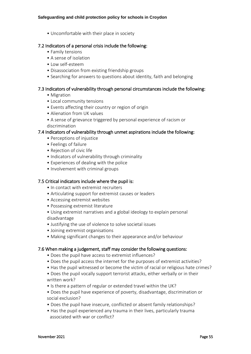• Uncomfortable with their place in society

### 7.2 Indicators of a personal crisis include the following:

- Family tensions
- A sense of isolation
- Low self-esteem
- Disassociation from existing friendship groups
- Searching for answers to questions about identity, faith and belonging

### 7.3 Indicators of vulnerability through personal circumstances include the following:

- Migration
- Local community tensions
- Events affecting their country or region of origin
- Alienation from UK values
- A sense of grievance triggered by personal experience of racism or discrimination

### 7.4 Indicators of vulnerability through unmet aspirations include the following:

- Perceptions of injustice
- Feelings of failure
- Rejection of civic life
- Indicators of vulnerability through criminality
- Experiences of dealing with the police
- Involvement with criminal groups

### 7.5 Critical indicators include where the pupil is:

- In contact with extremist recruiters
- Articulating support for extremist causes or leaders
- Accessing extremist websites
- Possessing extremist literature
- Using extremist narratives and a global ideology to explain personal disadvantage
- Justifying the use of violence to solve societal issues
- Joining extremist organisations
- Making significant changes to their appearance and/or behaviour

## 7.6 When making a judgement, staff may consider the following questions:

- Does the pupil have access to extremist influences?
- Does the pupil access the internet for the purposes of extremist activities?
- Has the pupil witnessed or become the victim of racial or religious hate crimes?
- Does the pupil vocally support terrorist attacks, either verbally or in their written work?
- Is there a pattern of regular or extended travel within the UK?
- Does the pupil have experience of poverty, disadvantage, discrimination or social exclusion?
- Does the pupil have insecure, conflicted or absent family relationships?
- Has the pupil experienced any trauma in their lives, particularly trauma associated with war or conflict?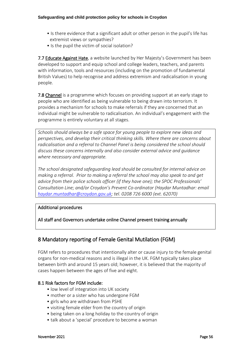- Is there evidence that a significant adult or other person in the pupil's life has extremist views or sympathies?
- Is the pupil the victim of social isolation?

7.7 [Educate Against Hate](https://educateagainsthate.com/), a website launched by Her Majesty's Government has been developed to support and equip school and college leaders, teachers, and parents with information, tools and resources (including on the promotion of fundamental British Values) to help recognise and address extremism and radicalisation in young people.

7.8 [Channel](https://assets.publishing.service.gov.uk/government/uploads/system/uploads/attachment_data/file/425189/Channel_Duty_Guidance_April_2015.pdf) is a programme which focuses on providing support at an early stage to people who are identified as being vulnerable to being drawn into terrorism. It provides a mechanism for schools to make referrals if they are concerned that an individual might be vulnerable to radicalisation. An individual's engagement with the programme is entirely voluntary at all stages.

*Schools should always be a safe space for young people to explore new ideas and perspectives, and develop their critical thinking skills. Where there are concerns about radicalisation and a referral to Channel Panel is being considered the school should discuss these concerns internally and also consider external advice and guidance where necessary and appropriate.*

*The school designated safeguarding lead should be consulted for internal advice on making a referral. Prior to making a referral the school may also speak to and get advice from their police schools officer (if they have one); the SPOC Professionals' Consultation Line; and/or Croydon's Prevent Co-ordinator (Haydar Muntadhar: email [haydar.muntadhar@croydon.gov.uk;](mailto:haydar.muntadhar@croydon.gov.uk) tel. 0208 726 6000 (ext. 62070)*

### Additional procedures

All staff and Governors undertake online Channel prevent training annually

# 8 Mandatory reporting of Female Genital Mutilation (FGM)

FGM refers to procedures that intentionally alter or cause injury to the female genital organs for non-medical reasons and is illegal in the UK. FGM typically takes place between birth and around 15 years old; however, it is believed that the majority of cases happen between the ages of five and eight.

## 8.1 Risk factors for FGM include:

- low level of integration into UK society
- mother or a sister who has undergone FGM
- girls who are withdrawn from PSHE
- visiting female elder from the country of origin
- being taken on a long holiday to the country of origin
- talk about a 'special' procedure to become a woman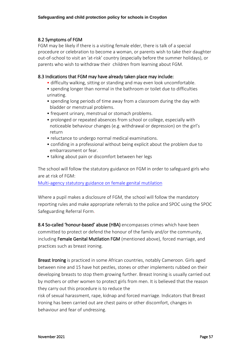## 8.2 Symptoms of FGM

FGM may be likely if there is a visiting female elder, there is talk of a special procedure or celebration to become a woman, or parents wish to take their daughter out-of-school to visit an 'at-risk' country (especially before the summer holidays), or parents who wish to withdraw their children from learning about FGM.

## 8.3 Indications that FGM may have already taken place may include:

- difficulty walking, sitting or standing and may even look uncomfortable.
- spending longer than normal in the bathroom or toilet due to difficulties urinating.
- spending long periods of time away from a classroom during the day with bladder or menstrual problems.
- frequent urinary, menstrual or stomach problems.
- prolonged or repeated absences from school or college, especially with noticeable behaviour changes (e.g. withdrawal or depression) on the girl's return
- reluctance to undergo normal medical examinations.
- confiding in a professional without being explicit about the problem due to embarrassment or fear.
- talking about pain or discomfort between her legs

The school will follow the statutory guidance on FGM in order to safeguard girls who are at risk of FGM:

[Multi-agency statutory guidance on female genital mutilation](https://assets.publishing.service.gov.uk/government/uploads/system/uploads/attachment_data/file/746560/6-1914-HO-Multi_Agency_Statutory_Guidance_on_FGM__-_MASTER_V7_-_FINAL_-_Amended081018.pdf)

Where a pupil makes a disclosure of FGM, the school will follow the mandatory reporting rules and make appropriate referrals to the police and SPOC using the SPOC Safeguarding Referral Form.

8.4 So-called 'honour-based' abuse (HBA) encompasses crimes which have been committed to protect or defend the honour of the family and/or the community, including Female Genital Mutilation FGM (mentioned above), forced marriage, and practices such as breast ironing.

Breast Ironing is practiced in some African countries, notably Cameroon. Girls aged between nine and 15 have hot pestles, stones or other implements rubbed on their developing breasts to stop them growing further. Breast Ironing is usually carried out by mothers or other women to protect girls from men. It is believed that the reason they carry out this procedure is to reduce the

risk of sexual harassment, rape, kidnap and forced marriage. Indicators that Breast Ironing has been carried out are chest pains or other discomfort, changes in behaviour and fear of undressing.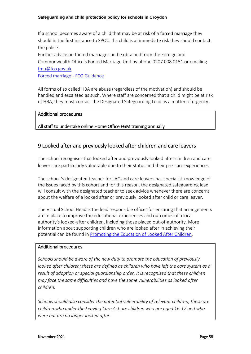If a school becomes aware of a child that may be at risk of a **forced marriage** they should in the first instance to SPOC. If a child is at immediate risk they should contact the police.

Further advice on forced marriage can be obtained from the Foreign and Commonwealth Office's Forced Marriage Unit by phone 0207 008 0151 or emailing [fmu@fco.gov.uk](mailto:fmu@fco.gov.uk)

[Forced marriage -](https://www.gov.uk/guidance/forced-marriage) FCO Guidance

All forms of so called HBA are abuse (regardless of the motivation) and should be handled and escalated as such. Where staff are concerned that a child might be at risk of HBA, they must contact the Designated Safeguarding Lead as a matter of urgency.

### Additional procedures

## All staff to undertake online Home Office FGM training annually

# 9 Looked after and previously looked after children and care leavers

The school recognises that looked after and previously looked after children and care leavers are particularly vulnerable due to their status and their pre-care experiences.

The school 's designated teacher for LAC and care leavers has specialist knowledge of the issues faced by this cohort and for this reason, the designated safeguarding lead will consult with the designated teacher to seek advice whenever there are concerns about the welfare of a looked after or previously looked after child or care leaver.

The Virtual School Head is the lead responsible officer for ensuring that arrangements are in place to improve the educational experiences and outcomes of a local authority's looked-after children, including those placed out-of-authority. More information about supporting children who are looked after in achieving their potential can be found i[n Promoting the Education of Looked After Children.](https://www.gov.uk/government/publications/promoting-the-education-of-looked-after-children)

### Additional procedures

*Schools should be aware of the new duty to promote the education of previously looked after children; these are defined as children who have left the care system as a result of adoption or special guardianship order. It is recognised that these children may face the same difficulties and have the same vulnerabilities as looked after children.*

*Schools should also consider the potential vulnerability of relevant children; these are children who under the Leaving Care Act are children who are aged 16-17 and who were but are no longer looked after.*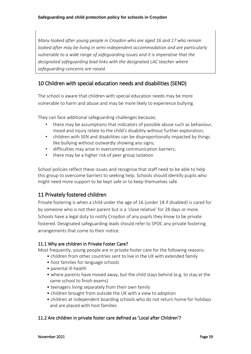*Many looked after young people in Croydon who are aged 16 and 17 who remain looked after may be living in semi-independent accommodation and are particularly vulnerable to a wide range of safeguarding issues and it is imperative that the designated safeguarding lead links with the designated LAC teacher where safeguarding concerns are raised.*

# 10 Children with special education needs and disabilities (SEND)

The school is aware that children with special education needs may be more vulnerable to harm and abuse and may be more likely to experience bullying.

They can face additional safeguarding challenges because;

- there may be assumptions that indicators of possible abuse such as behaviour, mood and injury relate to the child's disability without further exploration;
- children with SEN and disabilities can be disproportionally impacted by things like bullying without outwardly showing any signs;
- difficulties may arise in overcoming communication barriers;
- there may be a higher risk of peer group isolation

School policies reflect these issues and recognise that staff need to be able to help this group to overcome barriers to seeking help. Schools should identify pupils who might need more support to be kept safe or to keep themselves safe.

# 11 Privately fostered children

Private fostering is when a child under the age of 16 (under 18 if disabled) is cared for by someone who is not their parent but is a 'close relative' for 28 days or more. Schools have a legal duty to notify Croydon of any pupils they know to be private fostered. Designated safeguarding leads should refer to SPOC any private fostering arrangements that come to their notice.

### 11.1 Why are children in Private Foster Care?

Most frequently, young people are in private foster care for the following reasons:

- children from other countries sent to live in the UK with extended family
	- host families for language schools
	- parental ill-health
	- where parents have moved away, but the child stays behind (e.g. to stay at the same school to finish exams)
	- teenagers living separately from their own family
	- children brought from outside the UK with a view to adoption
- children at independent boarding schools who do not return home for holidays and are placed with host families

## 11.2 Are children in private foster care defined as 'Local after Children'?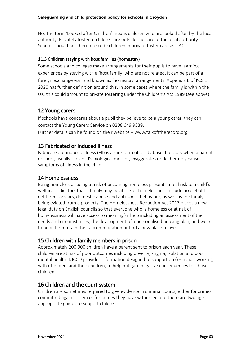No. The term 'Looked after Children' means children who are looked after by the local authority. Privately fostered children are outside the care of the local authority. Schools should not therefore code children in private foster care as 'LAC'.

## 11.3 Children staying with host families (homestay)

Some schools and colleges make arrangements for their pupils to have learning experiences by staying with a 'host family' who are not related. It can be part of a foreign exchange visit and known as 'homestay' arrangements. Appendix E of KCSIE 2020 has further definition around this. In some cases where the family is within the UK, this could amount to private fostering under the Children's Act 1989 (see above).

# 12 Young carers

If schools have concerns about a pupil they believe to be a young carer, they can contact the Young Carers Service on 0208 649 9339. Further details can be found on their website – [www.talkofftherecord.org](http://www.talkofftherecord.org/)

# 13 Fabricated or Induced Illness

Fabricated or induced illness (FII) is a rare form of child abuse. It occurs when a parent or carer, usually the child's biological mother, exaggerates or deliberately causes symptoms of illness in the child.

# 14 Homelessness

Being homeless or being at risk of becoming homeless presents a real risk to a child's welfare. Indicators that a family may be at risk of homelessness include household debt, rent arrears, domestic abuse and anti-social behaviour, as well as the family being evicted from a property. The Homelessness Reduction Act 2017 places a new legal duty on English councils so that everyone who is homeless or at risk of homelessness will have access to meaningful help including an assessment of their needs and circumstances, the development of a personalised housing plan, and work to help them retain their accommodation or find a new place to live.

# 15 Children with family members in prison

Approximately 200,000 children have a parent sent to prison each year. These children are at risk of poor outcomes including poverty, stigma, isolation and poor mental health. [NICCO](https://www.nicco.org.uk/) provides information designed to support professionals working with offenders and their children, to help mitigate negative consequences for those children.

# 16 Children and the court system

Children are sometimes required to give evidence in criminal courts, either for crimes committed against them or for crimes they have witnessed and there are two [age](http://www.socialworkerstoolbox.com/going-court-booklet-children-young-people-going-witnesses-crown-magistrates-youth-court/)  [appropriate](http://www.socialworkerstoolbox.com/going-court-booklet-children-young-people-going-witnesses-crown-magistrates-youth-court/) guides to support children.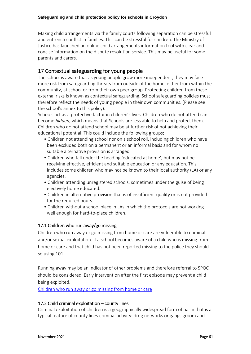Making child arrangements via the family courts following separation can be stressful and entrench conflict in families. This can be stressful for children. The Ministry of Justice has launched an online child arrangements information tool with clear and concise information on the dispute resolution service. This may be useful for some parents and carers.

# 17 Contextual safeguarding for young people

The school is aware that as young people grow more independent, they may face more risk from safeguarding threats from outside of the home, either from within the community, at school or from their own peer group. Protecting children from these external risks is known as contextual safeguarding. School safeguarding policies must therefore reflect the needs of young people in their own communities. (Please see the school's annex to this policy).

Schools act as a protective factor in children's lives. Children who do not attend can become *hidden*, which means that Schools are less able to help and protect them. Children who do not attend school may be at further risk of not achieving their educational potential. This could include the following groups;

- Children not attending school nor on a school roll, including children who have been excluded both on a permanent or an informal basis and for whom no suitable alternative provision is arranged.
- Children who fall under the heading 'educated at home', but may not be receiving effective, efficient and suitable education or any education. This includes some children who may not be known to their local authority (LA) or any agencies.
- Children attending unregistered schools, sometimes under the guise of being electively home educated.
- Children in alternative provision that is of insufficient quality or is not provided for the required hours.
- Children without a school place in LAs in which the protocols are not working well enough for hard-to-place children.

### 17.1 Children who run away/go missing

Children who run away or go missing from home or care are vulnerable to criminal and/or sexual exploitation. If a school becomes aware of a child who is missing from home or care and that child has not been reported missing to the police they should so using 101.

Running away may be an indicator of other problems and therefore referral to SPOC should be considered. Early intervention after the first episode may prevent a child being exploited.

[Children who run away or go missing from home or care](https://assets.publishing.service.gov.uk/government/uploads/system/uploads/attachment_data/file/307867/Statutory_Guidance_-_Missing_from_care__3_.pdf)

### 17.2 Child criminal exploitation – county lines

Criminal exploitation of children is a geographically widespread form of harm that is a typical feature of county lines criminal activity: drug networks or gangs groom and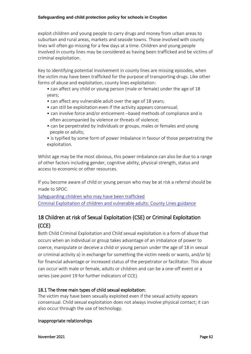exploit children and young people to carry drugs and money from urban areas to suburban and rural areas, markets and seaside towns. Those involved with county lines will often go missing for a few days at a time. Children and young people involved in county lines may be considered as having been trafficked and be victims of criminal exploitation.

Key to identifying potential involvement in county lines are missing episodes, when the victim may have been trafficked for the purpose of transporting drugs. Like other forms of abuse and exploitation, county lines exploitation:

• can affect any child or young person (male or female) under the age of 18 years;

- can affect any vulnerable adult over the age of 18 years;
- can still be exploitation even if the activity appears consensual;
- can involve force and/or enticement –based methods of compliance and is often accompanied by violence or threats of violence;
- can be perpetrated by individuals or groups, males or females and young people or adults;
- is typified by some form of power imbalance in favour of those perpetrating the exploitation.

Whilst age may be the most obvious, this power imbalance can also be due to a range of other factors including gender, cognitive ability, physical strength, status and access to economic or other resources.

If you become aware of child or young person who may be at risk a referral should be made to SPOC.

[Safeguarding children who may have been trafficked](https://assets.publishing.service.gov.uk/government/uploads/system/uploads/attachment_data/file/177033/DFE-00084-2011.pdf) [Criminal Exploitation of children and vulnerable adults: County Lines guidance](https://assets.publishing.service.gov.uk/government/uploads/system/uploads/attachment_data/file/741194/HOCountyLinesGuidanceSept2018.pdf)

# 18 Children at risk of Sexual Exploitation (CSE) or Criminal Exploitation (CCE)

Both Child Criminal Exploitation and Child sexual exploitation is a form of abuse that occurs when an individual or group takes advantage of an imbalance of power to coerce, manipulate or deceive a child or young person under the age of 18 in sexual or criminal activity a) in exchange for something the victim needs or wants, and/or b) for financial advantage or increased status of the perpetrator or facilitator. This abuse can occur with male or female, adults or children and can be a one-off event or a series (see point 19 for further indicators of CCE).

## 18.1 The three main types of child sexual exploitation:

The victim may have been sexually exploited even if the sexual activity appears consensual. Child sexual exploitation does not always involve physical contact; it can also occur through the use of technology.

### Inappropriate relationships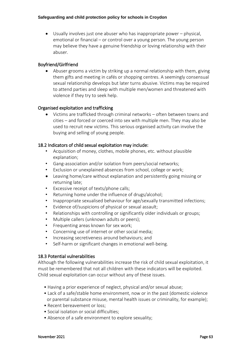• Usually involves just one abuser who has inappropriate power – physical, emotional or financial – or control over a young person. The young person may believe they have a genuine friendship or loving relationship with their abuser.

### Boyfriend/Girlfriend

• Abuser grooms a victim by striking up a normal relationship with them, giving them gifts and meeting in cafés or shopping centres. A seemingly consensual sexual relationship develops but later turns abusive. Victims may be required to attend parties and sleep with multiple men/women and threatened with violence if they try to seek help.

### Organised exploitation and trafficking

• Victims are trafficked through criminal networks – often between towns and cities – and forced or coerced into sex with multiple men. They may also be used to recruit new victims. This serious organised activity can involve the buying and selling of young people.

### 18.2 Indicators of child sexual exploitation may include:

- Acquisition of money, clothes, mobile phones, etc. without plausible explanation;
- Gang-association and/or isolation from peers/social networks;
- Exclusion or unexplained absences from school, college or work;
- Leaving home/care without explanation and persistently going missing or returning late;
- Excessive receipt of texts/phone calls;
- Returning home under the influence of drugs/alcohol;
- Inappropriate sexualised behaviour for age/sexually transmitted infections;
- Evidence of/suspicions of physical or sexual assault;
- Relationships with controlling or significantly older individuals or groups;
- Multiple callers (unknown adults or peers);
- Frequenting areas known for sex work;
- Concerning use of internet or other social media;
- Increasing secretiveness around behaviours; and
- Self-harm or significant changes in emotional well-being.

### 18.3 Potential vulnerabilities

Although the following vulnerabilities increase the risk of child sexual exploitation, it must be remembered that not all children with these indicators will be exploited. Child sexual exploitation can occur without any of these issues.

- Having a prior experience of neglect, physical and/or sexual abuse;
- Lack of a safe/stable home environment, now or in the past (domestic violence or parental substance misuse, mental health issues or criminality, for example);
- Recent bereavement or loss;
- Social isolation or social difficulties;
- Absence of a safe environment to explore sexuality;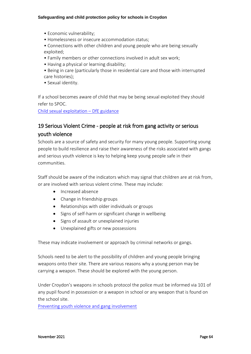- Economic vulnerability;
- Homelessness or insecure accommodation status;
- Connections with other children and young people who are being sexually exploited;
- Family members or other connections involved in adult sex work;
- Having a physical or learning disability;
- Being in care (particularly those in residential care and those with interrupted care histories);
- Sexual identity.

If a school becomes aware of child that may be being sexual exploited they should refer to SPOC.

[Child sexual exploitation](https://assets.publishing.service.gov.uk/government/uploads/system/uploads/attachment_data/file/591903/CSE_Guidance_Core_Document_13.02.2017.pdf) – DfE guidance

# 19 Serious Violent Crime - people at risk from gang activity or serious youth violence

Schools are a source of safety and security for many young people. Supporting young people to build resilience and raise their awareness of the risks associated with gangs and serious youth violence is key to helping keep young people safe in their communities.

Staff should be aware of the indicators which may signal that children are at risk from, or are involved with serious violent crime. These may include:

- Increased absence
- Change in friendship groups
- Relationships with older individuals or groups
- Signs of self-harm or significant change in wellbeing
- Signs of assault or unexplained injuries
- Unexplained gifts or new possessions

These may indicate involvement or approach by criminal networks or gangs.

Schools need to be alert to the possibility of children and young people bringing weapons onto their site. There are various reasons why a young person may be carrying a weapon. These should be explored with the young person.

Under Croydon's weapons in schools protocol the police must be informed via 101 of any pupil found in possession or a weapon in school or any weapon that is found on the school site.

Preventing youth [violence and gang involvement](https://assets.publishing.service.gov.uk/government/uploads/system/uploads/attachment_data/file/418131/Preventing_youth_violence_and_gang_involvement_v3_March2015.pdf)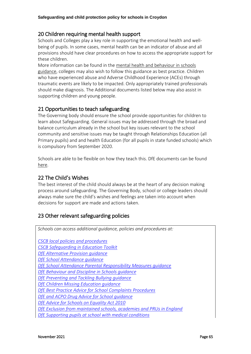# 20 Children requiring mental health support

Schools and Colleges play a key role in supporting the emotional health and wellbeing of pupils. In some cases, mental health can be an indicator of abuse and all provisions should have clear procedures on how to access the appropriate support for these children.

More information can be found in the [mental health and behaviour in schools](https://www.gov.uk/government/publications/mental-health-and-behaviour-in-schools--2)  [guidance,](https://www.gov.uk/government/publications/mental-health-and-behaviour-in-schools--2) colleges may also wish to follow this guidance as best practice. Children who have experienced abuse and Adverse Childhood Experience (ACEs) through traumatic events are likely to be impacted. Only appropriately trained professionals should make diagnosis. The Additional documents listed below may also assist in supporting children and young people.

# 21 Opportunities to teach safeguarding

The Governing body should ensure the school provide opportunities for children to learn about Safeguarding. General issues may be addressed through the broad and balance curriculum already in the school but key issues relevant to the school community and sensitive issues may be taught through Relationships Education (all Primary pupils) and and health Education (for all pupils in state funded schools) which is compulsory from September 2020.

Schools are able to be flexible on how they teach this. DfE documents can be found [here.](https://www.gov.uk/government/publications/relationships-education-relationships-and-sex-education-rse-and-health-education)

# 22 The Child's Wishes

The best interest of the child should always be at the heart of any decision making process around safeguarding. The Governing Body, school or college leaders should always make sure the child's wishes and feelings are taken into account when decisions for support are made and actions taken.

# 23 Other relevant safeguarding policies

| Schools can access additional guidance, policies and procedures at:  |
|----------------------------------------------------------------------|
|                                                                      |
| <b>CSCB</b> local policies and procedures                            |
| <b>CSCB Safeguarding in Education Toolkit</b>                        |
| DfE Alternative Provision quidance                                   |
| DfE School Attendance quidance                                       |
| DfE School Attendance Parental Responsibility Measures quidance      |
| DfE Behaviour and Discipline in Schools guidance                     |
| DfE Preventing and Tackling Bullying guidance                        |
| DfE Children Missing Education guidance                              |
| DfE Best Practice Advice for School Complaints Procedures            |
| DfE and ACPO Drug Advice for School guidance                         |
| DfE Advice for Schools on Equality Act 2010                          |
| DfE Exclusion from maintained schools, academies and PRUs in England |
| DfE Supporting pupils at school with medical conditions              |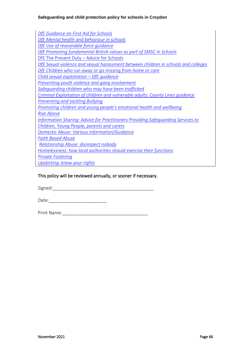*[DfE Guidance on First Aid for Schools](https://assets.publishing.service.gov.uk/government/uploads/system/uploads/attachment_data/file/306370/guidance_on_first_aid_for_schools.pdf) DfE Mental health [and behaviour in schools](https://assets.publishing.service.gov.uk/government/uploads/system/uploads/attachment_data/file/508847/Mental_Health_and_Behaviour_-_advice_for_Schools_160316.pdf) [DfE Use of reasonable force guidance](https://assets.publishing.service.gov.uk/government/uploads/system/uploads/attachment_data/file/444051/Use_of_reasonable_force_advice_Reviewed_July_2015.pdf) DfE Promoting [fundamental British values as part of SMSC in Schools](https://assets.publishing.service.gov.uk/government/uploads/system/uploads/attachment_data/file/380595/SMSC_Guidance_Maintained_Schools.pdf)* [DfE The Prevent Duty](https://assets.publishing.service.gov.uk/government/uploads/system/uploads/attachment_data/file/439598/prevent-duty-departmental-advice-v6.pdf) – Advice for Schools *[DfE Sexual violence and sexual harassment between children in schools and colleges](https://assets.publishing.service.gov.uk/government/uploads/system/uploads/attachment_data/file/719902/Sexual_violence_and_sexual_harassment_between_children_in_schools_and_colleges.pdf) [DfE Children who run away or go missing from home or care](https://assets.publishing.service.gov.uk/government/uploads/system/uploads/attachment_data/file/307867/Statutory_Guidance_-_Missing_from_care__3_.pdf) [Child sexual exploitation](https://assets.publishing.service.gov.uk/government/uploads/system/uploads/attachment_data/file/591903/CSE_Guidance_Core_Document_13.02.2017.pdf) – DfE guidance [Preventing youth violence and gang involvement](https://assets.publishing.service.gov.uk/government/uploads/system/uploads/attachment_data/file/418131/Preventing_youth_violence_and_gang_involvement_v3_March2015.pdf) [Safeguarding children who may have been trafficked](https://assets.publishing.service.gov.uk/government/uploads/system/uploads/attachment_data/file/177033/DFE-00084-2011.pdf) [Criminal Exploitation of children and vulnerable adults: County Lines guidance](https://assets.publishing.service.gov.uk/government/uploads/system/uploads/attachment_data/file/741194/HOCountyLinesGuidanceSept2018.pdf) [Preventing and tackling Bullying](https://assets.publishing.service.gov.uk/government/uploads/system/uploads/attachment_data/file/623895/Preventing_and_tackling_bullying_advice.pdf) [Promoting children and young people's emotional health and wellbeing](https://www.gov.uk/government/publications/promoting-children-and-young-peoples-emotional-health-and-wellbeing) [Rise Above](https://campaignresources.phe.gov.uk/schools/topics/rise-above/overview) [Information Sharing: Advice for Practitioners Providing Safeguarding Services to](https://www.gov.uk/government/publications/safeguarding-practitioners-information-sharing-advice)  [Children, Young People, parents and carers](https://www.gov.uk/government/publications/safeguarding-practitioners-information-sharing-advice) [Domestic Abuse: Various information/Guidance](https://www.gov.uk/guidance/domestic-abuse-how-to-get-help) [Faith Based Abuse](https://www.gov.uk/government/publications/national-action-plan-to-tackle-child-abuse-linked-to-faith-or-belief) [Relationship Abuse: disrespect nobody](https://www.disrespectnobody.co.uk/relationship-abuse/what-is-relationship-abuse/) [Homelessness: how local authorities should exercise their functions](https://www.gov.uk/guidance/homelessness-code-of-guidance-for-local-authorities) [Private Fostering](https://www.gov.uk/government/publications/children-act-1989-private-fostering) [Upskirting: know your rights](https://www.gov.uk/government/news/upskirting-know-your-rights)*

### This policy will be reviewed annually, or sooner if necessary.

Signed:

Date:

Print Name:\_\_\_\_\_\_\_\_\_\_\_\_\_\_\_\_\_\_\_\_\_\_\_\_\_\_\_\_\_\_\_\_\_\_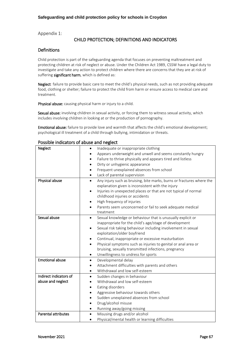Appendix 1:

### CHILD PROTECTION; DEFINITIONS AND INDICATORS

#### Definitions

Child protection is part of the safeguarding agenda that focuses on preventing maltreatment and protecting children at risk of neglect or abuse. Under the Children Act 1989, CSSW have a legal duty to investigate and take any action to protect children where there are concerns that they are at risk of suffering significant harm, which is defined as:

Neglect: failure to provide basic care to meet the child's physical needs, such as not providing adequate food, clothing or shelter; failure to protect the child from harm or ensure access to medical care and treatment.

Physical abuse: causing physical harm or injury to a child.

Sexual abuse: involving children in sexual activity, or forcing them to witness sexual activity, which includes involving children in looking at or the production of pornography.

Emotional abuse: failure to provide love and warmth that affects the child's emotional development: psychological ill treatment of a child through bullying, intimidation or threats.

| Neglect                    | Inadequate or inappropriate clothing                                               |  |  |  |  |  |
|----------------------------|------------------------------------------------------------------------------------|--|--|--|--|--|
|                            | Appears underweight and unwell and seems constantly hungry<br>$\bullet$            |  |  |  |  |  |
|                            | Failure to thrive physically and appears tired and listless<br>$\bullet$           |  |  |  |  |  |
|                            | Dirty or unhygienic appearance<br>$\bullet$                                        |  |  |  |  |  |
|                            | Frequent unexplained absences from school<br>$\bullet$                             |  |  |  |  |  |
|                            | Lack of parental supervision<br>$\bullet$                                          |  |  |  |  |  |
| Physical abuse             | Any injury such as bruising, bite marks, burns or fractures where the<br>$\bullet$ |  |  |  |  |  |
|                            | explanation given is inconsistent with the injury                                  |  |  |  |  |  |
|                            | Injuries in unexpected places or that are not typical of normal<br>٠               |  |  |  |  |  |
|                            | childhood injuries or accidents                                                    |  |  |  |  |  |
|                            | High frequency of injuries<br>٠                                                    |  |  |  |  |  |
|                            | Parents seem unconcerned or fail to seek adequate medical                          |  |  |  |  |  |
|                            | treatment                                                                          |  |  |  |  |  |
| Sexual abuse               | Sexual knowledge or behaviour that is unusually explicit or<br>$\bullet$           |  |  |  |  |  |
|                            | inappropriate for the child's age/stage of development                             |  |  |  |  |  |
|                            | Sexual risk taking behaviour including involvement in sexual<br>$\bullet$          |  |  |  |  |  |
|                            | exploitation/older boyfriend                                                       |  |  |  |  |  |
|                            | Continual, inappropriate or excessive masturbation<br>٠                            |  |  |  |  |  |
|                            | Physical symptoms such as injuries to genital or anal area or<br>$\bullet$         |  |  |  |  |  |
|                            | bruising, sexually transmitted infections, pregnancy                               |  |  |  |  |  |
|                            | Unwillingness to undress for sports<br>٠                                           |  |  |  |  |  |
| <b>Emotional abuse</b>     | Developmental delay<br>$\bullet$                                                   |  |  |  |  |  |
|                            | Attachment difficulties with parents and others<br>٠                               |  |  |  |  |  |
|                            | Withdrawal and low self-esteem<br>$\bullet$                                        |  |  |  |  |  |
| Indirect indicators of     | Sudden changes in behaviour<br>$\bullet$                                           |  |  |  |  |  |
| abuse and neglect          | Withdrawal and low self-esteem                                                     |  |  |  |  |  |
|                            | Eating disorders<br>٠                                                              |  |  |  |  |  |
|                            | Aggressive behaviour towards others<br>$\bullet$                                   |  |  |  |  |  |
|                            | Sudden unexplained absences from school<br>$\bullet$                               |  |  |  |  |  |
|                            | Drug/alcohol misuse                                                                |  |  |  |  |  |
|                            | Running away/going missing<br>$\bullet$                                            |  |  |  |  |  |
| <b>Parental attributes</b> | Misusing drugs and/or alcohol<br>$\bullet$                                         |  |  |  |  |  |
|                            | Physical/mental health or learning difficulties                                    |  |  |  |  |  |

#### Possible indicators of abuse and neglect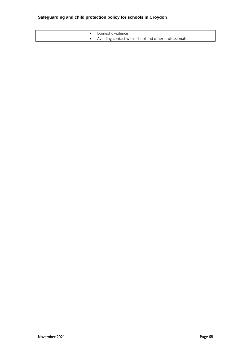|  | Domestic violence                                    |
|--|------------------------------------------------------|
|  | Avoiding contact with school and other professionals |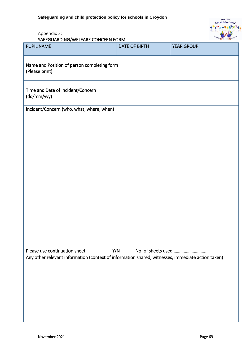is fun at Park Hill Infants' School  $+11$ 

# Appendix 2:

SAFEGUARDING/WELFARE CONCERN FORM

| PUPIL NAME                                                                                        |     | <b>DATE OF BIRTH</b> | <b>YEAR GROUP</b>  |  |  |
|---------------------------------------------------------------------------------------------------|-----|----------------------|--------------------|--|--|
| Name and Position of person completing form<br>(Please print)                                     |     |                      |                    |  |  |
| Time and Date of Incident/Concern<br>(dd/mm/yyy)                                                  |     |                      |                    |  |  |
| Incident/Concern (who, what, where, when)                                                         |     |                      |                    |  |  |
|                                                                                                   |     |                      |                    |  |  |
|                                                                                                   |     |                      |                    |  |  |
|                                                                                                   |     |                      |                    |  |  |
|                                                                                                   |     |                      |                    |  |  |
|                                                                                                   |     |                      |                    |  |  |
|                                                                                                   |     |                      |                    |  |  |
|                                                                                                   |     |                      |                    |  |  |
|                                                                                                   |     |                      |                    |  |  |
|                                                                                                   |     |                      |                    |  |  |
| Please use continuation sheet                                                                     | Y/N |                      | No: of sheets used |  |  |
| Any other relevant information (context of information shared, witnesses, immediate action taken) |     |                      |                    |  |  |
|                                                                                                   |     |                      |                    |  |  |
|                                                                                                   |     |                      |                    |  |  |
|                                                                                                   |     |                      |                    |  |  |
|                                                                                                   |     |                      |                    |  |  |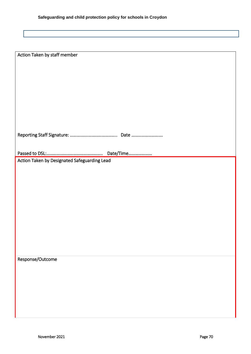| Action Taken by staff member                 |
|----------------------------------------------|
|                                              |
|                                              |
|                                              |
|                                              |
|                                              |
|                                              |
|                                              |
|                                              |
|                                              |
|                                              |
|                                              |
|                                              |
|                                              |
|                                              |
|                                              |
|                                              |
|                                              |
| Action Taken by Designated Safeguarding Lead |
|                                              |
|                                              |
|                                              |
|                                              |
|                                              |
|                                              |
|                                              |
|                                              |
|                                              |
|                                              |
|                                              |
|                                              |
|                                              |
|                                              |
|                                              |
|                                              |
| Response/Outcome                             |
|                                              |
|                                              |
|                                              |
|                                              |
|                                              |
|                                              |
|                                              |
|                                              |
|                                              |
|                                              |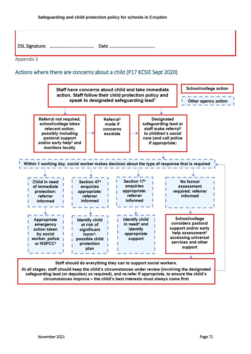

Appendix 3

# Actions where there are concerns about a child (P17 KCSIE Sept 2020)

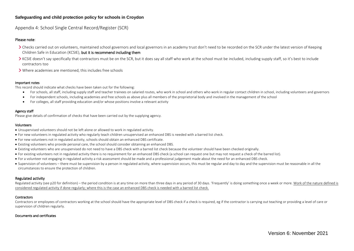Appendix 4: School Single Central Record/Register (SCR)

#### Please note:

- Checks carried out on volunteers, maintained school governors and local governors in an academy trust don't need to be recorded on the SCR under the latest version of Keeping Children Safe in Education (KCSIE), but it is recommend including them
- KCSIE doesn't say specifically that contractors must be on the SCR, but it does say all staff who work at the school must be included, including supply staff, so it's best to include contractors too
- Where academies are mentioned, this includes free schools

#### Important notes

This record should indicate what checks have been taken out for the following:

- For schools, all staff, including supply staff and teacher trainees on salaried routes, who work in school and others who work in regular contact children in school, including volunteers and governors
- For independent schools, including academies and free schools as above plus all members of the proprietorial body and involved in the management of the school
- For colleges, all staff providing education and/or whose positions involve a relevant activity

#### Agency staff

Please give details of confirmation of checks that have been carried out by the supplying agency.

#### Volunteers

- Unsupervised volunteers should not be left alone or allowed to work in regulated activity.
- For new volunteers in regulated activity who regularly teach children unsupervised an enhanced DBS is needed with a barred list check.
- For new volunteers not in regulated activity, schools should obtain an enhanced DBS certificate.
- Existing volunteers who provide personal care, the school should consider obtaining an enhanced DBS.
- Existing volunteers who are unsupervised do not need to have a DBS check with a barred list check because the volunteer should have been checked originally.
- For existing volunteers not in regulated activity there is no requirement for an enhanced DBS check (a school can request one but may not request a check of the barred list).
- For a volunteer not engaging in regulated activity a risk assessment should be made and a professional judgement made about the need for an enhanced DBS check.
- Supervision of volunteers there must be supervision by a person in regulated activity, where supervision occurs, this must be regular and day to day and the supervision must be reasonable in all the circumstances to ensure the protection of children.

#### Regulated activity

Regulated activity (see p20 for definition) – the period condition is at any time on more than three days in any period of 30 days. 'Frequently' is doing something once a week or more. Work of the nature defined is considered regulated activity if done regularly; where this is the case an enhanced DBS check is needed with a barred list check.

#### **Contractors**

Contractors or employees of contractors working at the school should have the appropriate level of DBS check if a check is required, eg if the contractor is carrying out teaching or providing a level of care or supervision of children regularly.

#### Documents and certificates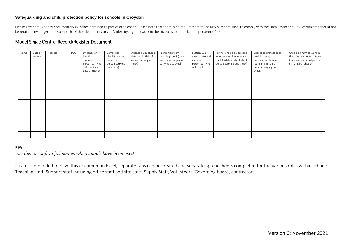#### **Safeguarding and child protection policy for schools in Croydon**

Please give details of any documentary evidence obtained as part of each check. Please note that there is no requirement to list DBS numbers. Also, to comply with the Data Protection, DBS certificates should not be retailed any longer than six months. Other documents to verify identity, right to work in the UK etc, should be kept in personnel files.

#### Model Single Central Record/Register Document

| Name | Date of<br>service | Address | DOB | Evidence of<br>identity:<br>(Initials of<br>person carrying<br>out check and<br>date of check) | Barred list<br>check (date and<br>initials of<br>person carrying<br>out check) | Enhanced DBS check<br>(date and initials of<br>person carrying out<br>check) | Prohibition from<br>teaching check (date<br>and initials of person<br>carrying out check) | Section 128<br>check (date and<br>initials of<br>person carrying<br>out check) | Further checks on persons<br>who have worked outside<br>the UK (date and initials of<br>person carrying out check) | Checks on professional<br>qualifications/<br>Certificates obtained<br>(date and initials of<br>person carrying out<br>check) | Checks on right to work in<br>the UK/documents obtained<br>(date and initials of person<br>carrying out check) |
|------|--------------------|---------|-----|------------------------------------------------------------------------------------------------|--------------------------------------------------------------------------------|------------------------------------------------------------------------------|-------------------------------------------------------------------------------------------|--------------------------------------------------------------------------------|--------------------------------------------------------------------------------------------------------------------|------------------------------------------------------------------------------------------------------------------------------|----------------------------------------------------------------------------------------------------------------|
|      |                    |         |     |                                                                                                |                                                                                |                                                                              |                                                                                           |                                                                                |                                                                                                                    |                                                                                                                              |                                                                                                                |
|      |                    |         |     |                                                                                                |                                                                                |                                                                              |                                                                                           |                                                                                |                                                                                                                    |                                                                                                                              |                                                                                                                |
|      |                    |         |     |                                                                                                |                                                                                |                                                                              |                                                                                           |                                                                                |                                                                                                                    |                                                                                                                              |                                                                                                                |
|      |                    |         |     |                                                                                                |                                                                                |                                                                              |                                                                                           |                                                                                |                                                                                                                    |                                                                                                                              |                                                                                                                |
|      |                    |         |     |                                                                                                |                                                                                |                                                                              |                                                                                           |                                                                                |                                                                                                                    |                                                                                                                              |                                                                                                                |
|      |                    |         |     |                                                                                                |                                                                                |                                                                              |                                                                                           |                                                                                |                                                                                                                    |                                                                                                                              |                                                                                                                |
|      |                    |         |     |                                                                                                |                                                                                |                                                                              |                                                                                           |                                                                                |                                                                                                                    |                                                                                                                              |                                                                                                                |

### Key:

*Use this to confirm full names when initials have been used* 

It is recommended to have this document in Excel, separate tabs can be created and separate spreadsheets completed for the various roles within school: Teaching staff, Support staff including office staff and site staff, Supply Staff, Volunteers, Governing board, contractors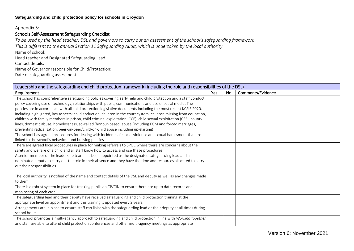### **Safeguarding and child protection policy for schools in Croydon**

#### Appendix 5:

## Schools Self-Assessment Safeguarding Checklist

*To be used by the head teacher, DSL and governors to carry out an assessment of the school's safeguarding framework This is different to the annual Section 11 Safeguarding Audit, which is undertaken by the local authority* Name of school: Head teacher and Designated Safeguarding Lead: Contact details: Name of Governor responsible for Child/Protection: Date of safeguarding assessment:

| Leadership and the safeguarding and child protection framework (including the role and responsibilities of the DSL) |     |    |                   |  |  |  |
|---------------------------------------------------------------------------------------------------------------------|-----|----|-------------------|--|--|--|
| Requirement                                                                                                         | Yes | No | Comments/Evidence |  |  |  |
| The school has comprehensive safeguarding policies covering early help and child protection and a staff conduct     |     |    |                   |  |  |  |
| policy covering use of technology, relationships with pupils, communications and use of social media. The           |     |    |                   |  |  |  |
| policies are in accordance with all child protection legislative documents including the most recent KCSIE 2020,    |     |    |                   |  |  |  |
| including highlighted, key aspects; child abduction, children in the court system, children missing from education, |     |    |                   |  |  |  |
| children with family members in prison, child criminal exploitation (CCE), child sexual exploitation (CSE), county  |     |    |                   |  |  |  |
| lines, domestic abuse, homelessness, so-called 'honour-based' abuse (including FGM and forced marriages,            |     |    |                   |  |  |  |
| preventing radicalisation, peer-on-peer/child-on-child abuse including up-skirting)                                 |     |    |                   |  |  |  |
| The school has agreed procedures for dealing with incidents of sexual violence and sexual harassment that are       |     |    |                   |  |  |  |
| linked to the school's behaviour and bullying policies                                                              |     |    |                   |  |  |  |
| There are agreed local procedures in place for making referrals to SPOC where there are concerns about the          |     |    |                   |  |  |  |
| safety and welfare of a child and all staff know how to access and use these procedures                             |     |    |                   |  |  |  |
| A senior member of the leadership team has been appointed as the designated safeguarding lead and a                 |     |    |                   |  |  |  |
| nominated deputy to carry out the role in their absence and they have the time and resources allocated to carry     |     |    |                   |  |  |  |
| out their responsibilities.                                                                                         |     |    |                   |  |  |  |
|                                                                                                                     |     |    |                   |  |  |  |
| The local authority is notified of the name and contact details of the DSL and deputy as well as any changes made   |     |    |                   |  |  |  |
| to them                                                                                                             |     |    |                   |  |  |  |
| There is a robust system in place for tracking pupils on CP/CIN to ensure there are up to date records and          |     |    |                   |  |  |  |
| monitoring of each case.                                                                                            |     |    |                   |  |  |  |
| The safeguarding lead and their deputy have received safeguarding and child protection training at the              |     |    |                   |  |  |  |
| appropriate level on appointment and this training is updated every 2 years.                                        |     |    |                   |  |  |  |
| Arrangements are in place to ensure staff can liaise with the safeguarding lead or their deputy at all times during |     |    |                   |  |  |  |
| school hours                                                                                                        |     |    |                   |  |  |  |
| The school promotes a multi-agency approach to safeguarding and child protection in line with Working together      |     |    |                   |  |  |  |
| and staff are able to attend child protection conferences and other multi-agency meetings as appropriate            |     |    |                   |  |  |  |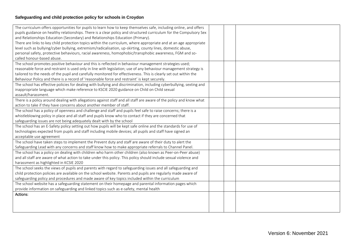# **Safeguarding and child protection policy for schools in Croydon**

| The curriculum offers opportunities for pupils to learn how to keep themselves safe, including online, and offers    |  |  |
|----------------------------------------------------------------------------------------------------------------------|--|--|
| pupils guidance on healthy relationships. There is a clear policy and structured curriculum for the Compulsory Sex   |  |  |
| and Relationships Education (Secondary) and Relationships Education (Primary).                                       |  |  |
| There are links to key child protection topics within the curriculum, where appropriate and at an age appropriate    |  |  |
| level such as bullying/cyber bullying, extremism/radicalisation, up-skirting, county lines, domestic abuse,          |  |  |
| personal safety, protective behaviours, racial awareness, homophobic/transphobic awareness, FGM and so-              |  |  |
| called honour-based abuse.                                                                                           |  |  |
| The school promotes positive behaviour and this is reflected in behaviour management strategies used;                |  |  |
| reasonable force and restraint is used only in line with legislation; use of any behaviour management strategy is    |  |  |
| tailored to the needs of the pupil and carefully monitored for effectiveness. This is clearly set out within the     |  |  |
| Behaviour Policy and there is a record of 'reasonable force and restraint' is kept securely.                         |  |  |
| The school has effective policies for dealing with bullying and discrimination, including cyberbullying, sexting and |  |  |
| inappropriate language which make reference to KSCIE 2020 guidance on Child on Child sexual                          |  |  |
| assault/harassment.                                                                                                  |  |  |
| There is a policy around dealing with allegations against staff and all staff are aware of the policy and know what  |  |  |
| action to take if they have concerns about another member of staff.                                                  |  |  |
| The school has a policy of openness and challenge and staff and pupils feel safe to raise concerns; there is a       |  |  |
| whistleblowing policy in place and all staff and pupils know who to contact if they are concerned that               |  |  |
| safeguarding issues are not being adequately dealt with by the school                                                |  |  |
| The school has an E-Safety policy setting out how pupils will be kept safe online and the standards for use of       |  |  |
| technologies expected from pupils and staff including mobile devices; all pupils and staff have signed an            |  |  |
| acceptable use agreement                                                                                             |  |  |
| The school have taken steps to implement the Prevent duty and staff are aware of their duty to alert the             |  |  |
| Safeguarding Lead with any concerns and staff know how to make appropriate referrals to Channel Panel.               |  |  |
| The school has a policy on dealing with children who harm other children (also known as Peer-on-Peer abuse)          |  |  |
| and all staff are aware of what action to take under this policy. This policy should include sexual violence and     |  |  |
| harassment as highlighted in KCSIE 2020                                                                              |  |  |
| The school seeks the views of pupils and parents with regard to safeguarding issues and all safeguarding and         |  |  |
| child protection policies are available on the school website. Parents and pupils are regularly made aware of        |  |  |
| safeguarding policy and procedures and made aware of key topics included within the curriculum                       |  |  |
| The school website has a safeguarding statement on their homepage and parental information pages which               |  |  |
| provide information on safeguarding and linked topics such as e-safety, mental health                                |  |  |
| Actions:                                                                                                             |  |  |
|                                                                                                                      |  |  |
|                                                                                                                      |  |  |
|                                                                                                                      |  |  |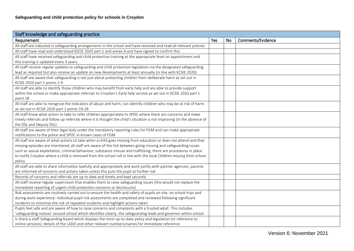| Staff knowledge and safeguarding practice                                                                              |     |           |                   |  |  |  |
|------------------------------------------------------------------------------------------------------------------------|-----|-----------|-------------------|--|--|--|
| Requirement                                                                                                            | Yes | <b>No</b> | Comments/Evidence |  |  |  |
| All staff are inducted in safeguarding arrangements in the school and have received and read all relevant policies     |     |           |                   |  |  |  |
| All staff have read and understood KSCIE 2020 part 1 and annex A and have signed to confirm this                       |     |           |                   |  |  |  |
| All staff have received safeguarding and child protection training at the appropriate level on appointment and         |     |           |                   |  |  |  |
| this training is updated every 3 years.                                                                                |     |           |                   |  |  |  |
| All staff receive regular updates to safeguarding and child protection legislation via the designated safeguarding     |     |           |                   |  |  |  |
| lead as required but also receive an update on new developments at least annually (in line with KCSIE 2020)            |     |           |                   |  |  |  |
| All staff are aware that safeguarding is not just about protecting children from deliberate harm as set out in         |     |           |                   |  |  |  |
| KCSIE 2020 part 1 points 2-4                                                                                           |     |           |                   |  |  |  |
| All staff are able to identify those children who may benefit from early help and are able to provide support          |     |           |                   |  |  |  |
| within the school or make appropriate referrals to Croydon's Early help service as set out in KCSIE 2020 part 1        |     |           |                   |  |  |  |
| point 18                                                                                                               |     |           |                   |  |  |  |
| All staff are able to recognise the indicators of abuse and harm, can identify children who may be at risk of harm     |     |           |                   |  |  |  |
| as set out in KCSIE 2020 part 1 points 19-28                                                                           |     |           |                   |  |  |  |
| All staff know what action to take to refer children appropriately to SPOC where there are concerns and make           |     |           |                   |  |  |  |
| timely referrals and follow up referrals where it is thought the child's situation is not improving (in the absence of |     |           |                   |  |  |  |
| the DSL and Deputy DSL)                                                                                                |     |           |                   |  |  |  |
| All staff are aware of their legal duty under the mandatory reporting rules for FGM and can make appropriate           |     |           |                   |  |  |  |
| notifications to the police and SPOC in known cases of FGM                                                             |     |           |                   |  |  |  |
| All staff are aware of what actions to take when a child goes missing from education or does not attend and that       |     |           |                   |  |  |  |
| missing episodes are monitored; all staff are aware of the link between going missing and safeguarding issues          |     |           |                   |  |  |  |
| such as sexual exploitation, criminal behaviour, substance misuse and trafficking; there are procedures in place       |     |           |                   |  |  |  |
| to notify Croydon where a child is removed from the school roll in line with the local Children missing from school    |     |           |                   |  |  |  |
| policy                                                                                                                 |     |           |                   |  |  |  |
| All staff are able to share information lawfully and appropriately and work jointly with partner agencies; parents     |     |           |                   |  |  |  |
| are informed of concerns and actions taken unless this puts the pupil at further risk                                  |     |           |                   |  |  |  |
| Records of concerns and referrals are up to date and timely and kept securely                                          |     |           |                   |  |  |  |
| All staff receive regular supervision that enables them to raise safeguarding issues (this would not replace the       |     |           |                   |  |  |  |
| immediate reporting of urgent child protection concerns or disclosures)                                                |     |           |                   |  |  |  |
| Risk assessments are routinely carried out to ensure the health and safety of pupils on site, on school trips and      |     |           |                   |  |  |  |
| during work experience. Individual pupil risk assessments are completed and reviewed following significant             |     |           |                   |  |  |  |
| incidents to minimise the risk of repeated incidents and highlight actions taken                                       |     |           |                   |  |  |  |
| Pupils feel safe and are aware of how to raise concerns and complaints with a trusted adult. This includes             |     |           |                   |  |  |  |
| 'safeguarding notices' around school which identifies clearly, the safeguarding leads and governor within school       |     |           |                   |  |  |  |
| Is there a staff Safeguarding board which displays the most up-to-date policy and legislation (or reference to         |     |           |                   |  |  |  |
| online versions), details of the LADO and other relevant numbers/names for immediate reference                         |     |           |                   |  |  |  |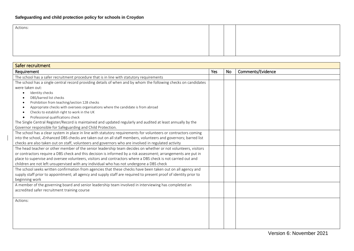| Actions:                                         |  |  |
|--------------------------------------------------|--|--|
|                                                  |  |  |
|                                                  |  |  |
|                                                  |  |  |
|                                                  |  |  |
|                                                  |  |  |
| $\sim$ $\sim$ $\sim$ $\sim$ $\sim$ $\sim$ $\sim$ |  |  |

| Safer recruitment                                                                                                 |     |    |                   |  |  |  |  |
|-------------------------------------------------------------------------------------------------------------------|-----|----|-------------------|--|--|--|--|
| Requirement                                                                                                       | Yes | No | Comments/Evidence |  |  |  |  |
| The school has a safer recruitment procedure that is in line with statutory requirements                          |     |    |                   |  |  |  |  |
| The school has a single central record providing details of when and by whom the following checks on candidates   |     |    |                   |  |  |  |  |
| were taken out:                                                                                                   |     |    |                   |  |  |  |  |
| Identity checks<br>$\bullet$                                                                                      |     |    |                   |  |  |  |  |
| DBS/barred list checks<br>٠                                                                                       |     |    |                   |  |  |  |  |
| Prohibition from teaching/section 128 checks<br>$\bullet$                                                         |     |    |                   |  |  |  |  |
| Appropriate checks with oversees organisations where the candidate is from abroad<br>٠                            |     |    |                   |  |  |  |  |
| Checks to establish right to work in the UK<br>٠                                                                  |     |    |                   |  |  |  |  |
| Professional qualifications check<br>$\bullet$                                                                    |     |    |                   |  |  |  |  |
| The Single Central Register/Record is maintained and updated regularly and audited at least annually by the       |     |    |                   |  |  |  |  |
| Governor responsible for Safeguarding and Child Protection.                                                       |     |    |                   |  |  |  |  |
| The school has a clear system in place in line with statutory requirements for volunteers or contractors coming   |     |    |                   |  |  |  |  |
| into the school, -Enhanced DBS checks are taken out on all staff members, volunteers and governors; barred list   |     |    |                   |  |  |  |  |
| checks are also taken out on staff, volunteers and governors who are involved in regulated activity               |     |    |                   |  |  |  |  |
| The head teacher or other member of the senior leadership team decides on whether or not volunteers, visitors     |     |    |                   |  |  |  |  |
| or contractors require a DBS check and this decision is informed by a risk assessment; arrangements are put in    |     |    |                   |  |  |  |  |
| place to supervise and oversee volunteers, visitors and contractors where a DBS check is not carried out and      |     |    |                   |  |  |  |  |
| children are not left unsupervised with any individual who has not undergone a DBS check                          |     |    |                   |  |  |  |  |
| The school seeks written confirmation from agencies that these checks have been taken out on all agency and       |     |    |                   |  |  |  |  |
| supply staff prior to appointment; all agency and supply staff are required to present proof of identity prior to |     |    |                   |  |  |  |  |
| beginning work                                                                                                    |     |    |                   |  |  |  |  |
| A member of the governing board and senior leadership team involved in interviewing has completed an              |     |    |                   |  |  |  |  |
| accredited safer recruitment training course                                                                      |     |    |                   |  |  |  |  |
|                                                                                                                   |     |    |                   |  |  |  |  |
| Actions:                                                                                                          |     |    |                   |  |  |  |  |
|                                                                                                                   |     |    |                   |  |  |  |  |
|                                                                                                                   |     |    |                   |  |  |  |  |
|                                                                                                                   |     |    |                   |  |  |  |  |
|                                                                                                                   |     |    |                   |  |  |  |  |
|                                                                                                                   |     |    |                   |  |  |  |  |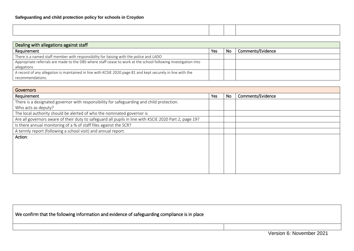| Dealing with allegations against staff                                                                         |     |    |                   |  |  |  |
|----------------------------------------------------------------------------------------------------------------|-----|----|-------------------|--|--|--|
| Requirement                                                                                                    | Yes | No | Comments/Evidence |  |  |  |
| There is a named staff member with responsibility for liaising with the police and LADO                        |     |    |                   |  |  |  |
| Appropriate referrals are made to the DBS where staff cease to work at the school following investigation into |     |    |                   |  |  |  |
| allegations                                                                                                    |     |    |                   |  |  |  |
| A record of any allegation is maintained in line with KCSIE 2020 page 81 and kept securely in line with the    |     |    |                   |  |  |  |
| recommendations.                                                                                               |     |    |                   |  |  |  |

| Governors                                                                                              |     |    |                   |  |  |  |
|--------------------------------------------------------------------------------------------------------|-----|----|-------------------|--|--|--|
| Requirement                                                                                            | Yes | No | Comments/Evidence |  |  |  |
| There is a designated governor with responsibility for safeguarding and child protection.              |     |    |                   |  |  |  |
| Who acts as deputy?                                                                                    |     |    |                   |  |  |  |
| The local authority should be alerted of who the nominated governor is                                 |     |    |                   |  |  |  |
| Are all governors aware of their duty to safeguard all pupils in line with KSCIE 2020 Part 2, page 19? |     |    |                   |  |  |  |
| Is there annual monitoring of a % of staff files against the SCR?                                      |     |    |                   |  |  |  |
| A termly report (following a school visit) and annual report.                                          |     |    |                   |  |  |  |
| Action:                                                                                                |     |    |                   |  |  |  |
|                                                                                                        |     |    |                   |  |  |  |
|                                                                                                        |     |    |                   |  |  |  |
|                                                                                                        |     |    |                   |  |  |  |
|                                                                                                        |     |    |                   |  |  |  |
|                                                                                                        |     |    |                   |  |  |  |
|                                                                                                        |     |    |                   |  |  |  |

| We confirm that the following information and evidence of safeguarding compliance is in place |                          |
|-----------------------------------------------------------------------------------------------|--------------------------|
|                                                                                               |                          |
|                                                                                               | Version 6: November 2021 |